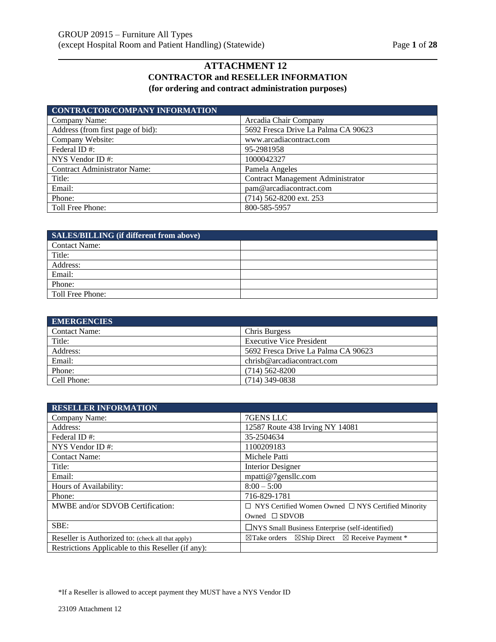# **ATTACHMENT 12 CONTRACTOR and RESELLER INFORMATION (for ordering and contract administration purposes)**

| <b>CONTRACTOR/COMPANY INFORMATION</b> |                                          |
|---------------------------------------|------------------------------------------|
| Company Name:                         | Arcadia Chair Company                    |
| Address (from first page of bid):     | 5692 Fresca Drive La Palma CA 90623      |
| Company Website:                      | www.arcadiacontract.com                  |
| Federal ID#:                          | 95-2981958                               |
| NYS Vendor ID $#$ :                   | 1000042327                               |
| <b>Contract Administrator Name:</b>   | Pamela Angeles                           |
| Title:                                | <b>Contract Management Administrator</b> |
| Email:                                | pam@arcadiacontract.com                  |
| Phone:                                | (714) 562-8200 ext. 253                  |
| Toll Free Phone:                      | 800-585-5957                             |

| SALES/BILLING (if different from above) |  |
|-----------------------------------------|--|
| Contact Name:                           |  |
| Title:                                  |  |
| Address:                                |  |
| Email:                                  |  |
| Phone:                                  |  |
| Toll Free Phone:                        |  |

| <b>EMERGENCIES</b>   |                                     |
|----------------------|-------------------------------------|
| <b>Contact Name:</b> | Chris Burgess                       |
| Title:               | <b>Executive Vice President</b>     |
| Address:             | 5692 Fresca Drive La Palma CA 90623 |
| Email:               | chrisb@arcadiacontract.com          |
| Phone:               | $(714)$ 562-8200                    |
| Cell Phone:          | $(714)$ 349-0838                    |

| <b>RESELLER INFORMATION</b>                        |                                                                                  |
|----------------------------------------------------|----------------------------------------------------------------------------------|
| Company Name:                                      | 7GENS LLC                                                                        |
| Address:                                           | 12587 Route 438 Irving NY 14081                                                  |
| Federal ID#:                                       | 35-2504634                                                                       |
| NYS Vendor ID $#$ :                                | 1100209183                                                                       |
| <b>Contact Name:</b>                               | Michele Patti                                                                    |
| Title:                                             | <b>Interior Designer</b>                                                         |
| Email:                                             | mpatti@7gensllc.com                                                              |
| Hours of Availability:                             | $8:00 - 5:00$                                                                    |
| Phone:                                             | 716-829-1781                                                                     |
| MWBE and/or SDVOB Certification:                   | $\Box$ NYS Certified Women Owned $\Box$ NYS Certified Minority                   |
|                                                    | Owned $\square$ SDVOB                                                            |
| SBE:                                               | $\Box$ NYS Small Business Enterprise (self-identified)                           |
| Reseller is Authorized to: (check all that apply)  | $\boxtimes$ Ship Direct $\boxtimes$ Receive Payment *<br>$\boxtimes$ Take orders |
| Restrictions Applicable to this Reseller (if any): |                                                                                  |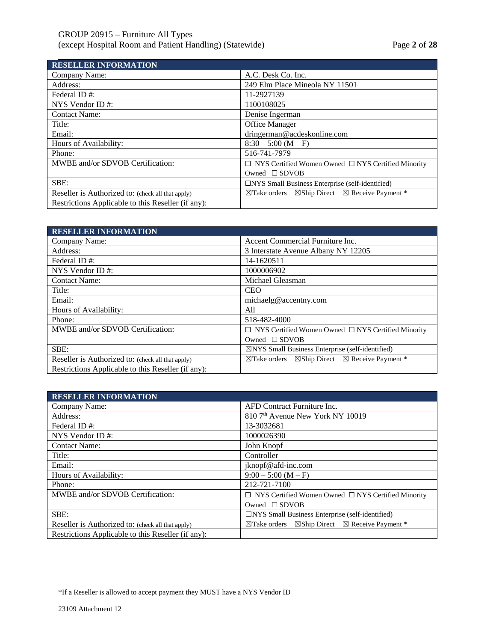# GROUP 20915 – Furniture All Types (except Hospital Room and Patient Handling) (Statewide) Page **2** of **28**

| <b>RESELLER INFORMATION</b>                        |                                                                               |
|----------------------------------------------------|-------------------------------------------------------------------------------|
| Company Name:                                      | A.C. Desk Co. Inc.                                                            |
| Address:                                           | 249 Elm Place Mineola NY 11501                                                |
| Federal ID#:                                       | 11-2927139                                                                    |
| NYS Vendor ID $#$ :                                | 1100108025                                                                    |
| <b>Contact Name:</b>                               | Denise Ingerman                                                               |
| Title:                                             | <b>Office Manager</b>                                                         |
| Email:                                             | dringerman@acdeskonline.com                                                   |
| Hours of Availability:                             | $8:30 - 5:00 (M - F)$                                                         |
| Phone:                                             | 516-741-7979                                                                  |
| MWBE and/or SDVOB Certification:                   | $\Box$ NYS Certified Women Owned $\Box$ NYS Certified Minority                |
|                                                    | Owned $\square$ SDVOB                                                         |
| SBE:                                               | $\Box$ NYS Small Business Enterprise (self-identified)                        |
| Reseller is Authorized to: (check all that apply)  | $\boxtimes$ Take orders $\boxtimes$ Ship Direct $\boxtimes$ Receive Payment * |
| Restrictions Applicable to this Reseller (if any): |                                                                               |

| <b>RESELLER INFORMATION</b>                        |                                                                                  |
|----------------------------------------------------|----------------------------------------------------------------------------------|
| Company Name:                                      | Accent Commercial Furniture Inc.                                                 |
| Address:                                           | 3 Interstate Avenue Albany NY 12205                                              |
| Federal ID#:                                       | 14-1620511                                                                       |
| NYS Vendor ID $#$ :                                | 1000006902                                                                       |
| <b>Contact Name:</b>                               | Michael Gleasman                                                                 |
| Title:                                             | <b>CEO</b>                                                                       |
| Email:                                             | michaelg@accentny.com                                                            |
| Hours of Availability:                             | All                                                                              |
| Phone:                                             | 518-482-4000                                                                     |
| MWBE and/or SDVOB Certification:                   | $\Box$ NYS Certified Women Owned $\Box$ NYS Certified Minority                   |
|                                                    | Owned $\square$ SDVOB                                                            |
| SBE:                                               | $\boxtimes$ NYS Small Business Enterprise (self-identified)                      |
| Reseller is Authorized to: (check all that apply)  | $\boxtimes$ Ship Direct $\boxtimes$ Receive Payment *<br>$\boxtimes$ Take orders |
| Restrictions Applicable to this Reseller (if any): |                                                                                  |

| <b>RESELLER INFORMATION</b>                        |                                                                                  |
|----------------------------------------------------|----------------------------------------------------------------------------------|
| Company Name:                                      | AFD Contract Furniture Inc.                                                      |
| Address:                                           | 810 7 <sup>th</sup> Avenue New York NY 10019                                     |
| Federal ID#:                                       | 13-3032681                                                                       |
| NYS Vendor ID $#$ :                                | 1000026390                                                                       |
| <b>Contact Name:</b>                               | John Knopf                                                                       |
| Title:                                             | Controller                                                                       |
| Email:                                             | jknopf@afd-inc.com                                                               |
| Hours of Availability:                             | $9:00 - 5:00 (M - F)$                                                            |
| Phone:                                             | 212-721-7100                                                                     |
| MWBE and/or SDVOB Certification:                   | $\Box$ NYS Certified Women Owned $\Box$ NYS Certified Minority                   |
|                                                    | Owned $\square$ SDVOB                                                            |
| SBE:                                               | $\Box$ NYS Small Business Enterprise (self-identified)                           |
| Reseller is Authorized to: (check all that apply)  | $\boxtimes$ Ship Direct $\boxtimes$ Receive Payment *<br>$\boxtimes$ Take orders |
| Restrictions Applicable to this Reseller (if any): |                                                                                  |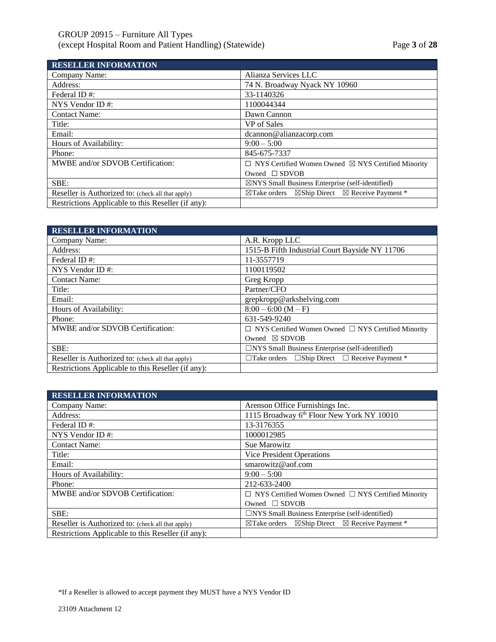# GROUP 20915 – Furniture All Types (except Hospital Room and Patient Handling) (Statewide) Page **3** of **28**

| <b>RESELLER INFORMATION</b>                        |                                                                                  |
|----------------------------------------------------|----------------------------------------------------------------------------------|
| Company Name:                                      | Alianza Services LLC                                                             |
| Address:                                           | 74 N. Broadway Nyack NY 10960                                                    |
| Federal ID#:                                       | 33-1140326                                                                       |
| NYS Vendor ID $#$ :                                | 1100044344                                                                       |
| <b>Contact Name:</b>                               | Dawn Cannon                                                                      |
| Title:                                             | VP of Sales                                                                      |
| Email:                                             | dcannon@alianzacorp.com                                                          |
| Hours of Availability:                             | $9:00 - 5:00$                                                                    |
| Phone:                                             | 845-675-7337                                                                     |
| MWBE and/or SDVOB Certification:                   | $\Box$ NYS Certified Women Owned $\boxtimes$ NYS Certified Minority              |
|                                                    | Owned $\square$ SDVOB                                                            |
| SBE:                                               | $\boxtimes$ NYS Small Business Enterprise (self-identified)                      |
| Reseller is Authorized to: (check all that apply)  | $\boxtimes$ Ship Direct $\boxtimes$ Receive Payment *<br>$\boxtimes$ Take orders |
| Restrictions Applicable to this Reseller (if any): |                                                                                  |

| <b>RESELLER INFORMATION</b>                        |                                                                |
|----------------------------------------------------|----------------------------------------------------------------|
| Company Name:                                      | A.R. Kropp LLC                                                 |
| Address:                                           | 1515-B Fifth Industrial Court Bayside NY 11706                 |
| Federal ID#:                                       | 11-3557719                                                     |
| NYS Vendor ID#:                                    | 1100119502                                                     |
| <b>Contact Name:</b>                               | Greg Kropp                                                     |
| Title:                                             | Partner/CFO                                                    |
| Email:                                             | grepkropp@arkshelving.com                                      |
| Hours of Availability:                             | $8:00 - 6:00 (M - F)$                                          |
| Phone:                                             | 631-549-9240                                                   |
| MWBE and/or SDVOB Certification:                   | $\Box$ NYS Certified Women Owned $\Box$ NYS Certified Minority |
|                                                    | Owned $\boxtimes$ SDVOB                                        |
| SBE:                                               | $\Box$ NYS Small Business Enterprise (self-identified)         |
| Reseller is Authorized to: (check all that apply)  | $\Box$ Take orders $\Box$ Ship Direct $\Box$ Receive Payment * |
| Restrictions Applicable to this Reseller (if any): |                                                                |

| <b>RESELLER INFORMATION</b>                        |                                                                               |
|----------------------------------------------------|-------------------------------------------------------------------------------|
| Company Name:                                      | Arenson Office Furnishings Inc.                                               |
| Address:                                           | 1115 Broadway 6th Floor New York NY 10010                                     |
| Federal ID#:                                       | 13-3176355                                                                    |
| NYS Vendor ID#:                                    | 1000012985                                                                    |
| <b>Contact Name:</b>                               | Sue Marowitz                                                                  |
| Title:                                             | Vice President Operations                                                     |
| Email:                                             | smarowitz@aof.com                                                             |
| Hours of Availability:                             | $9:00 - 5:00$                                                                 |
| Phone:                                             | 212-633-2400                                                                  |
| MWBE and/or SDVOB Certification:                   | $\Box$ NYS Certified Women Owned $\Box$ NYS Certified Minority                |
|                                                    | Owned $\Box$ SDVOB                                                            |
| SBE:                                               | $\Box$ NYS Small Business Enterprise (self-identified)                        |
| Reseller is Authorized to: (check all that apply)  | $\boxtimes$ Take orders $\boxtimes$ Ship Direct $\boxtimes$ Receive Payment * |
| Restrictions Applicable to this Reseller (if any): |                                                                               |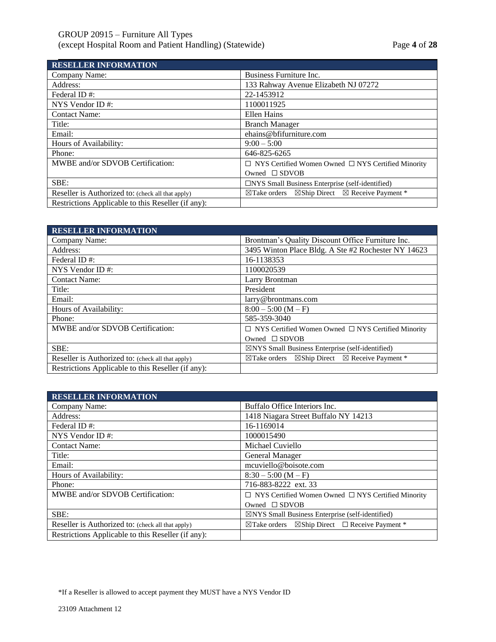# GROUP 20915 – Furniture All Types (except Hospital Room and Patient Handling) (Statewide) Page **4** of **28**

**RESELLER INFORMATION**

| RESELLER INFORMATION                               |                                                                                  |
|----------------------------------------------------|----------------------------------------------------------------------------------|
| Company Name:                                      | Business Furniture Inc.                                                          |
| Address:                                           | 133 Rahway Avenue Elizabeth NJ 07272                                             |
| Federal ID#:                                       | 22-1453912                                                                       |
| NYS Vendor ID#:                                    | 1100011925                                                                       |
| <b>Contact Name:</b>                               | Ellen Hains                                                                      |
| Title:                                             | <b>Branch Manager</b>                                                            |
| Email:                                             | ehains@bfifurniture.com                                                          |
| Hours of Availability:                             | $9:00 - 5:00$                                                                    |
| Phone:                                             | 646-825-6265                                                                     |
| MWBE and/or SDVOB Certification:                   | $\Box$ NYS Certified Women Owned $\Box$ NYS Certified Minority                   |
|                                                    | Owned $\square$ SDVOB                                                            |
| SBE:                                               | $\Box$ NYS Small Business Enterprise (self-identified)                           |
| Reseller is Authorized to: (check all that apply)  | $\boxtimes$ Ship Direct $\boxtimes$ Receive Payment *<br>$\boxtimes$ Take orders |
| Restrictions Applicable to this Reseller (if any): |                                                                                  |

| <b>RESELLER INFORMATION</b>                        |                                                                                  |
|----------------------------------------------------|----------------------------------------------------------------------------------|
| Company Name:                                      | Brontman's Quality Discount Office Furniture Inc.                                |
| Address:                                           | 3495 Winton Place Bldg. A Ste #2 Rochester NY 14623                              |
| Federal ID#:                                       | 16-1138353                                                                       |
| NYS Vendor ID#:                                    | 1100020539                                                                       |
| <b>Contact Name:</b>                               | Larry Brontman                                                                   |
| Title:                                             | President                                                                        |
| Email:                                             | larry@brontmans.com                                                              |
| Hours of Availability:                             | $8:00 - 5:00 (M - F)$                                                            |
| Phone:                                             | 585-359-3040                                                                     |
| MWBE and/or SDVOB Certification:                   | $\Box$ NYS Certified Women Owned $\Box$ NYS Certified Minority                   |
|                                                    | Owned $\square$ SDVOB                                                            |
| SBE:                                               | $\boxtimes$ NYS Small Business Enterprise (self-identified)                      |
| Reseller is Authorized to: (check all that apply)  | $\boxtimes$ Ship Direct $\boxtimes$ Receive Payment *<br>$\boxtimes$ Take orders |
| Restrictions Applicable to this Reseller (if any): |                                                                                  |

| <b>RESELLER INFORMATION</b>                        |                                                                          |
|----------------------------------------------------|--------------------------------------------------------------------------|
| Company Name:                                      | Buffalo Office Interiors Inc.                                            |
| Address:                                           | 1418 Niagara Street Buffalo NY 14213                                     |
| Federal ID#:                                       | 16-1169014                                                               |
| NYS Vendor ID $#$ :                                | 1000015490                                                               |
| <b>Contact Name:</b>                               | Michael Cuviello                                                         |
| Title:                                             | General Manager                                                          |
| Email:                                             | mcuviello@boisote.com                                                    |
| Hours of Availability:                             | $8:30 - 5:00 (M - F)$                                                    |
| Phone:                                             | 716-883-8222 ext. 33                                                     |
| MWBE and/or SDVOB Certification:                   | $\Box$ NYS Certified Women Owned $\Box$ NYS Certified Minority           |
|                                                    | Owned $\square$ SDVOB                                                    |
| SBE:                                               | $\boxtimes$ NYS Small Business Enterprise (self-identified)              |
| Reseller is Authorized to: (check all that apply)  | $\boxtimes$ Take orders $\boxtimes$ Ship Direct $\Box$ Receive Payment * |
| Restrictions Applicable to this Reseller (if any): |                                                                          |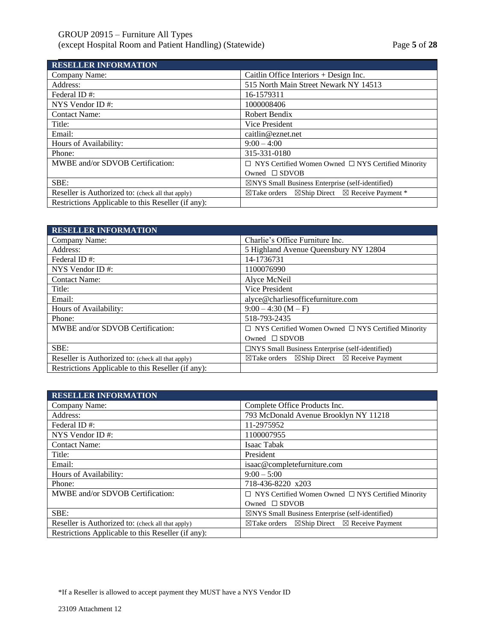| <b>RESELLER INFORMATION</b>                        |                                                                                  |
|----------------------------------------------------|----------------------------------------------------------------------------------|
| Company Name:                                      | Caitlin Office Interiors $+$ Design Inc.                                         |
| Address:                                           | 515 North Main Street Newark NY 14513                                            |
| Federal ID#:                                       | 16-1579311                                                                       |
| NYS Vendor ID $#$ :                                | 1000008406                                                                       |
| <b>Contact Name:</b>                               | Robert Bendix                                                                    |
| Title:                                             | Vice President                                                                   |
| Email:                                             | caitlin@eznet.net                                                                |
| Hours of Availability:                             | $9:00 - 4:00$                                                                    |
| Phone:                                             | 315-331-0180                                                                     |
| MWBE and/or SDVOB Certification:                   | $\Box$ NYS Certified Women Owned $\Box$ NYS Certified Minority                   |
|                                                    | Owned $\square$ SDVOB                                                            |
| SBE:                                               | $\boxtimes$ NYS Small Business Enterprise (self-identified)                      |
| Reseller is Authorized to: (check all that apply)  | $\boxtimes$ Ship Direct $\boxtimes$ Receive Payment *<br>$\boxtimes$ Take orders |
| Restrictions Applicable to this Reseller (if any): |                                                                                  |

| <b>RESELLER INFORMATION</b>                        |                                                                                |
|----------------------------------------------------|--------------------------------------------------------------------------------|
| Company Name:                                      | Charlie's Office Furniture Inc.                                                |
| Address:                                           | 5 Highland Avenue Queensbury NY 12804                                          |
| Federal ID#:                                       | 14-1736731                                                                     |
| NYS Vendor ID $#$ :                                | 1100076990                                                                     |
| <b>Contact Name:</b>                               | Alyce McNeil                                                                   |
| Title:                                             | Vice President                                                                 |
| Email:                                             | alyce@charliesofficefurniture.com                                              |
| Hours of Availability:                             | $9:00 - 4:30(M - F)$                                                           |
| Phone:                                             | 518-793-2435                                                                   |
| MWBE and/or SDVOB Certification:                   | $\Box$ NYS Certified Women Owned $\Box$ NYS Certified Minority                 |
|                                                    | Owned $\square$ SDVOB                                                          |
| SBE:                                               | $\Box$ NYS Small Business Enterprise (self-identified)                         |
| Reseller is Authorized to: (check all that apply)  | $\boxtimes$ Ship Direct $\boxtimes$ Receive Payment<br>$\boxtimes$ Take orders |
| Restrictions Applicable to this Reseller (if any): |                                                                                |

| <b>RESELLER INFORMATION</b>                        |                                                                                |
|----------------------------------------------------|--------------------------------------------------------------------------------|
| Company Name:                                      | Complete Office Products Inc.                                                  |
| Address:                                           | 793 McDonald Avenue Brooklyn NY 11218                                          |
| Federal ID#:                                       | 11-2975952                                                                     |
| NYS Vendor ID#:                                    | 1100007955                                                                     |
| <b>Contact Name:</b>                               | Isaac Tabak                                                                    |
| Title:                                             | President                                                                      |
| Email:                                             | isaac@completefurniture.com                                                    |
| Hours of Availability:                             | $9:00-5:00$                                                                    |
| Phone:                                             | 718-436-8220 x203                                                              |
| MWBE and/or SDVOB Certification:                   | $\Box$ NYS Certified Women Owned $\Box$ NYS Certified Minority                 |
|                                                    | Owned $\square$ SDVOB                                                          |
| SBE:                                               | $\boxtimes$ NYS Small Business Enterprise (self-identified)                    |
| Reseller is Authorized to: (check all that apply)  | $\boxtimes$ Ship Direct $\boxtimes$ Receive Payment<br>$\boxtimes$ Take orders |
| Restrictions Applicable to this Reseller (if any): |                                                                                |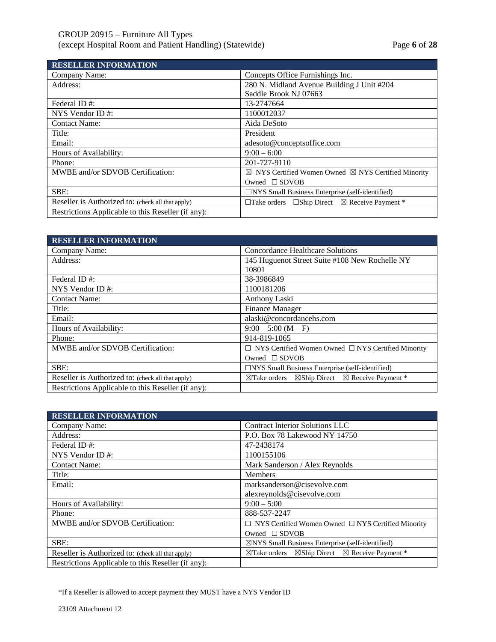| <b>RESELLER INFORMATION</b>                        |                                                                          |
|----------------------------------------------------|--------------------------------------------------------------------------|
| Company Name:                                      | Concepts Office Furnishings Inc.                                         |
| Address:                                           | 280 N. Midland Avenue Building J Unit #204                               |
|                                                    | Saddle Brook NJ 07663                                                    |
| Federal ID#:                                       | 13-2747664                                                               |
| NYS Vendor ID#:                                    | 1100012037                                                               |
| <b>Contact Name:</b>                               | Aida DeSoto                                                              |
| Title:                                             | President                                                                |
| Email:                                             | adesoto@conceptsoffice.com                                               |
| Hours of Availability:                             | $9:00 - 6:00$                                                            |
| Phone:                                             | 201-727-9110                                                             |
| MWBE and/or SDVOB Certification:                   | $\boxtimes$ NYS Certified Women Owned $\boxtimes$ NYS Certified Minority |
|                                                    | Owned $\square$ SDVOB                                                    |
| SBE:                                               | $\Box$ NYS Small Business Enterprise (self-identified)                   |
| Reseller is Authorized to: (check all that apply)  | $\Box$ Take orders $\Box$ Ship Direct $\boxtimes$ Receive Payment *      |
| Restrictions Applicable to this Reseller (if any): |                                                                          |

| <b>RESELLER INFORMATION</b>                        |                                                                               |
|----------------------------------------------------|-------------------------------------------------------------------------------|
| Company Name:                                      | Concordance Healthcare Solutions                                              |
| Address:                                           | 145 Huguenot Street Suite #108 New Rochelle NY                                |
|                                                    | 10801                                                                         |
| Federal ID#:                                       | 38-3986849                                                                    |
| NYS Vendor ID $#$ :                                | 1100181206                                                                    |
| <b>Contact Name:</b>                               | Anthony Laski                                                                 |
| Title:                                             | <b>Finance Manager</b>                                                        |
| Email:                                             | alaski@concordancehs.com                                                      |
| Hours of Availability:                             | $9:00 - 5:00$ (M - F)                                                         |
| Phone:                                             | 914-819-1065                                                                  |
| MWBE and/or SDVOB Certification:                   | $\Box$ NYS Certified Women Owned $\Box$ NYS Certified Minority                |
|                                                    | Owned $\Box$ SDVOB                                                            |
| SBE:                                               | $\Box$ NYS Small Business Enterprise (self-identified)                        |
| Reseller is Authorized to: (check all that apply)  | $\boxtimes$ Take orders $\boxtimes$ Ship Direct $\boxtimes$ Receive Payment * |
| Restrictions Applicable to this Reseller (if any): |                                                                               |

| <b>RESELLER INFORMATION</b>                        |                                                                                  |
|----------------------------------------------------|----------------------------------------------------------------------------------|
| Company Name:                                      | <b>Contract Interior Solutions LLC</b>                                           |
| Address:                                           | P.O. Box 78 Lakewood NY 14750                                                    |
| Federal ID#:                                       | 47-2438174                                                                       |
| NYS Vendor ID#:                                    | 1100155106                                                                       |
| <b>Contact Name:</b>                               | Mark Sanderson / Alex Reynolds                                                   |
| Title:                                             | <b>Members</b>                                                                   |
| Email:                                             | marksanderson@cisevolve.com                                                      |
|                                                    | alexreynolds@cisevolve.com                                                       |
| Hours of Availability:                             | $9:00-5:00$                                                                      |
| Phone:                                             | 888-537-2247                                                                     |
| MWBE and/or SDVOB Certification:                   | $\Box$ NYS Certified Women Owned $\Box$ NYS Certified Minority                   |
|                                                    | Owned $\square$ SDVOB                                                            |
| SBE:                                               | $\boxtimes$ NYS Small Business Enterprise (self-identified)                      |
| Reseller is Authorized to: (check all that apply)  | $\boxtimes$ Ship Direct $\boxtimes$ Receive Payment *<br>$\boxtimes$ Take orders |
| Restrictions Applicable to this Reseller (if any): |                                                                                  |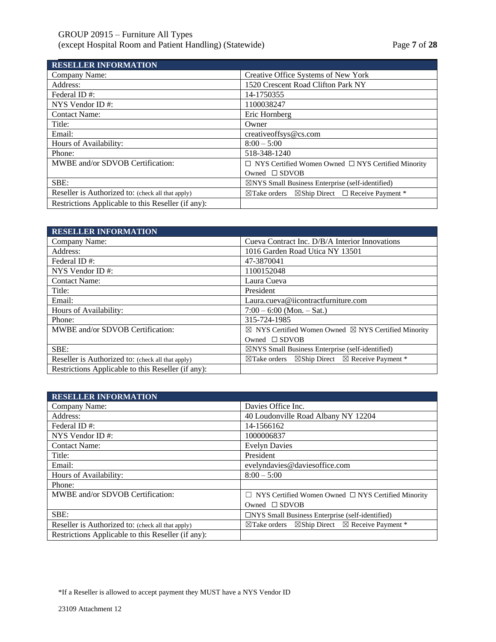# GROUP 20915 – Furniture All Types (except Hospital Room and Patient Handling) (Statewide) Page **7** of **28**

| <b>RESELLER INFORMATION</b>                        |                                                                             |
|----------------------------------------------------|-----------------------------------------------------------------------------|
| Company Name:                                      | Creative Office Systems of New York                                         |
| Address:                                           | 1520 Crescent Road Clifton Park NY                                          |
| Federal ID#:                                       | 14-1750355                                                                  |
| NYS Vendor ID $#$ :                                | 1100038247                                                                  |
| <b>Contact Name:</b>                               | Eric Hornberg                                                               |
| Title:                                             | Owner                                                                       |
| Email:                                             | creativeoffsys@cs.com                                                       |
| Hours of Availability:                             | $8:00 - 5:00$                                                               |
| Phone:                                             | 518-348-1240                                                                |
| MWBE and/or SDVOB Certification:                   | $\Box$ NYS Certified Women Owned $\Box$ NYS Certified Minority              |
|                                                    | Owned $\square$ SDVOB                                                       |
| SBE:                                               | $\boxtimes$ NYS Small Business Enterprise (self-identified)                 |
| Reseller is Authorized to: (check all that apply)  | $\boxtimes$ Ship Direct $\Box$ Receive Payment *<br>$\boxtimes$ Take orders |
| Restrictions Applicable to this Reseller (if any): |                                                                             |

| <b>RESELLER INFORMATION</b>                        |                                                                                  |
|----------------------------------------------------|----------------------------------------------------------------------------------|
| Company Name:                                      | Cueva Contract Inc. D/B/A Interior Innovations                                   |
| Address:                                           | 1016 Garden Road Utica NY 13501                                                  |
| Federal ID#:                                       | 47-3870041                                                                       |
| NYS Vendor ID $#$ :                                | 1100152048                                                                       |
| <b>Contact Name:</b>                               | Laura Cueva                                                                      |
| Title:                                             | President                                                                        |
| Email:                                             | Laura.cueva@iicontractfurniture.com                                              |
| Hours of Availability:                             | $7:00 - 6:00$ (Mon. $-$ Sat.)                                                    |
| Phone:                                             | 315-724-1985                                                                     |
| MWBE and/or SDVOB Certification:                   | $\boxtimes$ NYS Certified Women Owned $\boxtimes$ NYS Certified Minority         |
|                                                    | Owned $\square$ SDVOB                                                            |
| SBE:                                               | $\boxtimes$ NYS Small Business Enterprise (self-identified)                      |
| Reseller is Authorized to: (check all that apply)  | $\boxtimes$ Ship Direct $\boxtimes$ Receive Payment *<br>$\boxtimes$ Take orders |
| Restrictions Applicable to this Reseller (if any): |                                                                                  |

| <b>RESELLER INFORMATION</b>                        |                                                                                  |
|----------------------------------------------------|----------------------------------------------------------------------------------|
| Company Name:                                      | Davies Office Inc.                                                               |
| Address:                                           | 40 Loudonville Road Albany NY 12204                                              |
| Federal ID#:                                       | 14-1566162                                                                       |
| NYS Vendor ID $#$ :                                | 1000006837                                                                       |
| <b>Contact Name:</b>                               | <b>Evelyn Davies</b>                                                             |
| Title:                                             | President                                                                        |
| Email:                                             | evelyndavies@daviesoffice.com                                                    |
| Hours of Availability:                             | $8:00 - 5:00$                                                                    |
| Phone:                                             |                                                                                  |
| MWBE and/or SDVOB Certification:                   | $\Box$ NYS Certified Women Owned $\Box$ NYS Certified Minority                   |
|                                                    | Owned $\square$ SDVOB                                                            |
| SBE:                                               | $\Box$ NYS Small Business Enterprise (self-identified)                           |
| Reseller is Authorized to: (check all that apply)  | $\boxtimes$ Ship Direct $\boxtimes$ Receive Payment *<br>$\boxtimes$ Take orders |
| Restrictions Applicable to this Reseller (if any): |                                                                                  |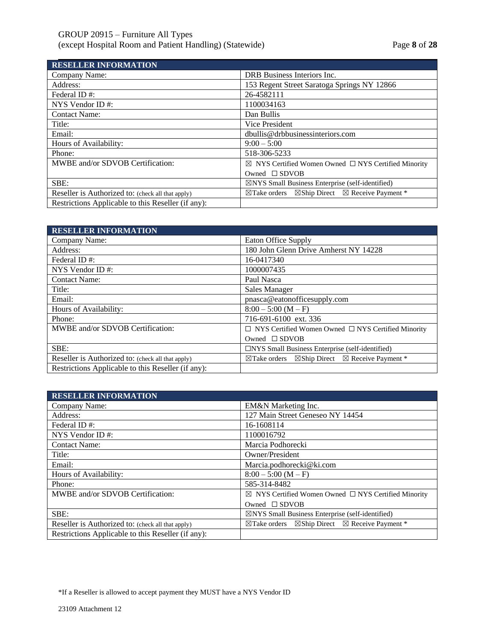# GROUP 20915 – Furniture All Types (except Hospital Room and Patient Handling) (Statewide) Page **8** of **28**

| <b>RESELLER INFORMATION</b>                        |                                                                                  |
|----------------------------------------------------|----------------------------------------------------------------------------------|
| Company Name:                                      | DRB Business Interiors Inc.                                                      |
| Address:                                           | 153 Regent Street Saratoga Springs NY 12866                                      |
| Federal ID#:                                       | 26-4582111                                                                       |
| NYS Vendor ID $#$ :                                | 1100034163                                                                       |
| <b>Contact Name:</b>                               | Dan Bullis                                                                       |
| Title:                                             | Vice President                                                                   |
| Email:                                             | dbullis@drbbusinessinteriors.com                                                 |
| Hours of Availability:                             | $9:00 - 5:00$                                                                    |
| Phone:                                             | 518-306-5233                                                                     |
| MWBE and/or SDVOB Certification:                   | $\boxtimes$ NYS Certified Women Owned $\Box$ NYS Certified Minority              |
|                                                    | Owned $\square$ SDVOB                                                            |
| SBE:                                               | $\boxtimes$ NYS Small Business Enterprise (self-identified)                      |
| Reseller is Authorized to: (check all that apply)  | $\boxtimes$ Ship Direct $\boxtimes$ Receive Payment *<br>$\boxtimes$ Take orders |
| Restrictions Applicable to this Reseller (if any): |                                                                                  |

| <b>RESELLER INFORMATION</b>                        |                                                                                  |
|----------------------------------------------------|----------------------------------------------------------------------------------|
| Company Name:                                      | Eaton Office Supply                                                              |
| Address:                                           | 180 John Glenn Drive Amherst NY 14228                                            |
| Federal ID#:                                       | 16-0417340                                                                       |
| NYS Vendor ID#:                                    | 1000007435                                                                       |
| <b>Contact Name:</b>                               | Paul Nasca                                                                       |
| Title:                                             | Sales Manager                                                                    |
| Email:                                             | pnasca@eatonofficesupply.com                                                     |
| Hours of Availability:                             | $8:00 - 5:00 (M - F)$                                                            |
| Phone:                                             | 716-691-6100 ext. 336                                                            |
| MWBE and/or SDVOB Certification:                   | $\Box$ NYS Certified Women Owned $\Box$ NYS Certified Minority                   |
|                                                    | Owned $\square$ SDVOB                                                            |
| SBE:                                               | $\Box$ NYS Small Business Enterprise (self-identified)                           |
| Reseller is Authorized to: (check all that apply)  | $\boxtimes$ Ship Direct $\boxtimes$ Receive Payment *<br>$\boxtimes$ Take orders |
| Restrictions Applicable to this Reseller (if any): |                                                                                  |

| <b>RESELLER INFORMATION</b>                        |                                                                               |
|----------------------------------------------------|-------------------------------------------------------------------------------|
| Company Name:                                      | EM&N Marketing Inc.                                                           |
| Address:                                           | 127 Main Street Geneseo NY 14454                                              |
| Federal ID#:                                       | 16-1608114                                                                    |
| NYS Vendor ID $#$ :                                | 1100016792                                                                    |
| <b>Contact Name:</b>                               | Marcia Podhorecki                                                             |
| Title:                                             | Owner/President                                                               |
| Email:                                             | Marcia.podhorecki@ki.com                                                      |
| Hours of Availability:                             | $8:00 - 5:00 (M - F)$                                                         |
| Phone:                                             | 585-314-8482                                                                  |
| MWBE and/or SDVOB Certification:                   | $\boxtimes$ NYS Certified Women Owned $\Box$ NYS Certified Minority           |
|                                                    | Owned $\square$ SDVOB                                                         |
| SBE:                                               | $\boxtimes$ NYS Small Business Enterprise (self-identified)                   |
| Reseller is Authorized to: (check all that apply)  | $\boxtimes$ Take orders $\boxtimes$ Ship Direct $\boxtimes$ Receive Payment * |
| Restrictions Applicable to this Reseller (if any): |                                                                               |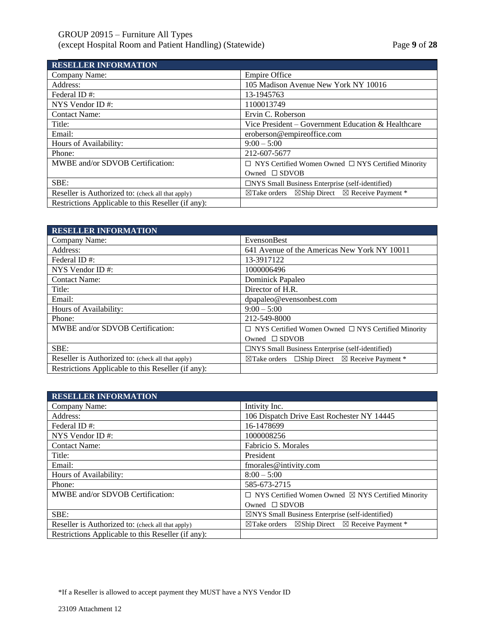| <b>RESELLER INFORMATION</b>                        |                                                                                  |
|----------------------------------------------------|----------------------------------------------------------------------------------|
| Company Name:                                      | <b>Empire Office</b>                                                             |
| Address:                                           | 105 Madison Avenue New York NY 10016                                             |
| Federal ID#:                                       | 13-1945763                                                                       |
| NYS Vendor ID#:                                    | 1100013749                                                                       |
| <b>Contact Name:</b>                               | Ervin C. Roberson                                                                |
| Title:                                             | Vice President – Government Education & Healthcare                               |
| Email:                                             | eroberson@empireoffice.com                                                       |
| Hours of Availability:                             | $9:00-5:00$                                                                      |
| Phone:                                             | 212-607-5677                                                                     |
| MWBE and/or SDVOB Certification:                   | $\Box$ NYS Certified Women Owned $\Box$ NYS Certified Minority                   |
|                                                    | Owned $\square$ SDVOB                                                            |
| SBE:                                               | $\Box$ NYS Small Business Enterprise (self-identified)                           |
| Reseller is Authorized to: (check all that apply)  | $\boxtimes$ Ship Direct $\boxtimes$ Receive Payment *<br>$\boxtimes$ Take orders |
| Restrictions Applicable to this Reseller (if any): |                                                                                  |

| <b>RESELLER INFORMATION</b>                        |                                                                          |
|----------------------------------------------------|--------------------------------------------------------------------------|
| Company Name:                                      | EvensonBest                                                              |
| Address:                                           | 641 Avenue of the Americas New York NY 10011                             |
| Federal ID#:                                       | 13-3917122                                                               |
| NYS Vendor ID $#$ :                                | 1000006496                                                               |
| <b>Contact Name:</b>                               | Dominick Papaleo                                                         |
| Title:                                             | Director of H.R.                                                         |
| Email:                                             | dpapaleo@evensonbest.com                                                 |
| Hours of Availability:                             | $9:00-5:00$                                                              |
| Phone:                                             | 212-549-8000                                                             |
| MWBE and/or SDVOB Certification:                   | $\Box$ NYS Certified Women Owned $\Box$ NYS Certified Minority           |
|                                                    | Owned $\square$ SDVOB                                                    |
| SBE:                                               | $\Box$ NYS Small Business Enterprise (self-identified)                   |
| Reseller is Authorized to: (check all that apply)  | $\boxtimes$ Take orders $\Box$ Ship Direct $\boxtimes$ Receive Payment * |
| Restrictions Applicable to this Reseller (if any): |                                                                          |

| <b>RESELLER INFORMATION</b>                        |                                                                                  |
|----------------------------------------------------|----------------------------------------------------------------------------------|
| Company Name:                                      | Intivity Inc.                                                                    |
| Address:                                           | 106 Dispatch Drive East Rochester NY 14445                                       |
| Federal ID#:                                       | 16-1478699                                                                       |
| NYS Vendor ID#:                                    | 1000008256                                                                       |
| <b>Contact Name:</b>                               | Fabricio S. Morales                                                              |
| Title:                                             | President                                                                        |
| Email:                                             | fmorales@intivity.com                                                            |
| Hours of Availability:                             | $8:00 - 5:00$                                                                    |
| Phone:                                             | 585-673-2715                                                                     |
| MWBE and/or SDVOB Certification:                   | $\Box$ NYS Certified Women Owned $\boxtimes$ NYS Certified Minority              |
|                                                    | Owned $\square$ SDVOB                                                            |
| SBE:                                               | $\boxtimes$ NYS Small Business Enterprise (self-identified)                      |
| Reseller is Authorized to: (check all that apply)  | $\boxtimes$ Ship Direct $\boxtimes$ Receive Payment *<br>$\boxtimes$ Take orders |
| Restrictions Applicable to this Reseller (if any): |                                                                                  |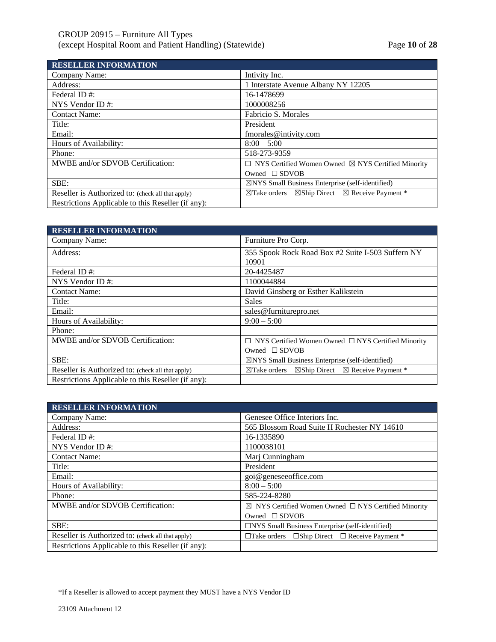| <b>RESELLER INFORMATION</b>                        |                                                                                  |
|----------------------------------------------------|----------------------------------------------------------------------------------|
| Company Name:                                      | Intivity Inc.                                                                    |
| Address:                                           | 1 Interstate Avenue Albany NY 12205                                              |
| Federal ID#:                                       | 16-1478699                                                                       |
| NYS Vendor ID $#$ :                                | 1000008256                                                                       |
| <b>Contact Name:</b>                               | Fabricio S. Morales                                                              |
| Title:                                             | President                                                                        |
| Email:                                             | fmorales@intivity.com                                                            |
| Hours of Availability:                             | $8:00 - 5:00$                                                                    |
| Phone:                                             | 518-273-9359                                                                     |
| MWBE and/or SDVOB Certification:                   | $\Box$ NYS Certified Women Owned $\boxtimes$ NYS Certified Minority              |
|                                                    | Owned $\square$ SDVOB                                                            |
| SBE:                                               | $\boxtimes$ NYS Small Business Enterprise (self-identified)                      |
| Reseller is Authorized to: (check all that apply)  | $\boxtimes$ Ship Direct $\boxtimes$ Receive Payment *<br>$\boxtimes$ Take orders |
| Restrictions Applicable to this Reseller (if any): |                                                                                  |

| <b>RESELLER INFORMATION</b>                        |                                                                                  |
|----------------------------------------------------|----------------------------------------------------------------------------------|
| Company Name:                                      | Furniture Pro Corp.                                                              |
| Address:                                           | 355 Spook Rock Road Box #2 Suite I-503 Suffern NY<br>10901                       |
| Federal ID#:                                       | 20-4425487                                                                       |
| NYS Vendor ID $#$ :                                | 1100044884                                                                       |
| <b>Contact Name:</b>                               | David Ginsberg or Esther Kalikstein                                              |
| Title:                                             | <b>Sales</b>                                                                     |
| Email:                                             | sales@furniturepro.net                                                           |
| Hours of Availability:                             | $9:00-5:00$                                                                      |
| Phone:                                             |                                                                                  |
| MWBE and/or SDVOB Certification:                   | $\Box$ NYS Certified Women Owned $\Box$ NYS Certified Minority                   |
|                                                    | Owned $\square$ SDVOB                                                            |
| SBE:                                               | $\boxtimes$ NYS Small Business Enterprise (self-identified)                      |
| Reseller is Authorized to: (check all that apply)  | $\boxtimes$ Ship Direct $\boxtimes$ Receive Payment *<br>$\boxtimes$ Take orders |
| Restrictions Applicable to this Reseller (if any): |                                                                                  |

| <b>RESELLER INFORMATION</b>                        |                                                                     |
|----------------------------------------------------|---------------------------------------------------------------------|
| Company Name:                                      | Genesee Office Interiors Inc.                                       |
| Address:                                           | 565 Blossom Road Suite H Rochester NY 14610                         |
| Federal ID#:                                       | 16-1335890                                                          |
| NYS Vendor ID $#$ :                                | 1100038101                                                          |
| <b>Contact Name:</b>                               | Marj Cunningham                                                     |
| Title:                                             | President                                                           |
| Email:                                             | goi@geneseeoffice.com                                               |
| Hours of Availability:                             | $8:00 - 5:00$                                                       |
| Phone:                                             | 585-224-8280                                                        |
| MWBE and/or SDVOB Certification:                   | $\boxtimes$ NYS Certified Women Owned $\Box$ NYS Certified Minority |
|                                                    | Owned $\square$ SDVOB                                               |
| SBE:                                               | □NYS Small Business Enterprise (self-identified)                    |
| Reseller is Authorized to: (check all that apply)  | $\Box$ Take orders $\Box$ Ship Direct $\Box$ Receive Payment *      |
| Restrictions Applicable to this Reseller (if any): |                                                                     |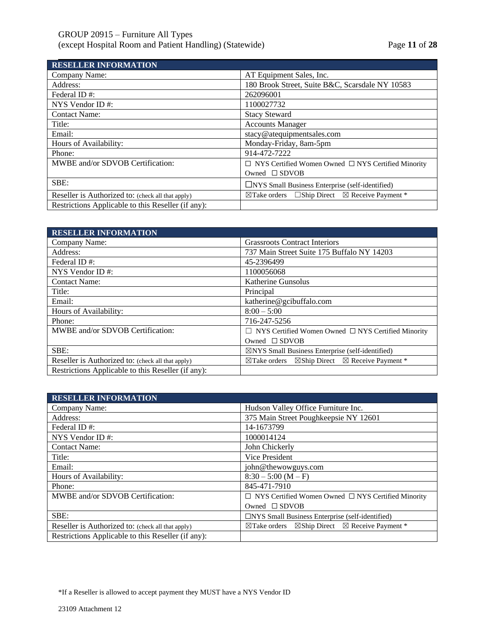# GROUP 20915 – Furniture All Types (except Hospital Room and Patient Handling) (Statewide) Page **11** of **28**

| <b>RESELLER INFORMATION</b>                        |                                                                          |
|----------------------------------------------------|--------------------------------------------------------------------------|
| Company Name:                                      | AT Equipment Sales, Inc.                                                 |
| Address:                                           | 180 Brook Street, Suite B&C, Scarsdale NY 10583                          |
| Federal ID#:                                       | 262096001                                                                |
| NYS Vendor ID#:                                    | 1100027732                                                               |
| <b>Contact Name:</b>                               | <b>Stacy Steward</b>                                                     |
| Title:                                             | <b>Accounts Manager</b>                                                  |
| Email:                                             | stacy@atequipmentsales.com                                               |
| Hours of Availability:                             | Monday-Friday, 8am-5pm                                                   |
| Phone:                                             | 914-472-7222                                                             |
| MWBE and/or SDVOB Certification:                   | $\Box$ NYS Certified Women Owned $\Box$ NYS Certified Minority           |
|                                                    | Owned $\square$ SDVOB                                                    |
| SBE:                                               | $\Box$ NYS Small Business Enterprise (self-identified)                   |
| Reseller is Authorized to: (check all that apply)  | $\boxtimes$ Take orders $\Box$ Ship Direct $\boxtimes$ Receive Payment * |
| Restrictions Applicable to this Reseller (if any): |                                                                          |

| <b>Grassroots Contract Interiors</b>                                          |
|-------------------------------------------------------------------------------|
| 737 Main Street Suite 175 Buffalo NY 14203                                    |
| 45-2396499                                                                    |
| 1100056068                                                                    |
| Katherine Gunsolus                                                            |
| Principal                                                                     |
| katherine@gcibuffalo.com                                                      |
| $8:00 - 5:00$                                                                 |
| 716-247-5256                                                                  |
| $\Box$ NYS Certified Women Owned $\Box$ NYS Certified Minority                |
| Owned $\square$ SDVOB                                                         |
| $\boxtimes$ NYS Small Business Enterprise (self-identified)                   |
| $\boxtimes$ Take orders $\boxtimes$ Ship Direct $\boxtimes$ Receive Payment * |
|                                                                               |
|                                                                               |

| <b>RESELLER INFORMATION</b>                        |                                                                                  |
|----------------------------------------------------|----------------------------------------------------------------------------------|
| Company Name:                                      | Hudson Valley Office Furniture Inc.                                              |
| Address:                                           | 375 Main Street Poughkeepsie NY 12601                                            |
| Federal ID#:                                       | 14-1673799                                                                       |
| NYS Vendor ID $#$ :                                | 1000014124                                                                       |
| <b>Contact Name:</b>                               | John Chickerly                                                                   |
| Title:                                             | Vice President                                                                   |
| Email:                                             | john@thewowguys.com                                                              |
| Hours of Availability:                             | $8:30 - 5:00 (M - F)$                                                            |
| Phone:                                             | 845-471-7910                                                                     |
| MWBE and/or SDVOB Certification:                   | $\Box$ NYS Certified Women Owned $\Box$ NYS Certified Minority                   |
|                                                    | Owned $\square$ SDVOB                                                            |
| SBE:                                               | $\Box$ NYS Small Business Enterprise (self-identified)                           |
| Reseller is Authorized to: (check all that apply)  | $\boxtimes$ Ship Direct $\boxtimes$ Receive Payment *<br>$\boxtimes$ Take orders |
| Restrictions Applicable to this Reseller (if any): |                                                                                  |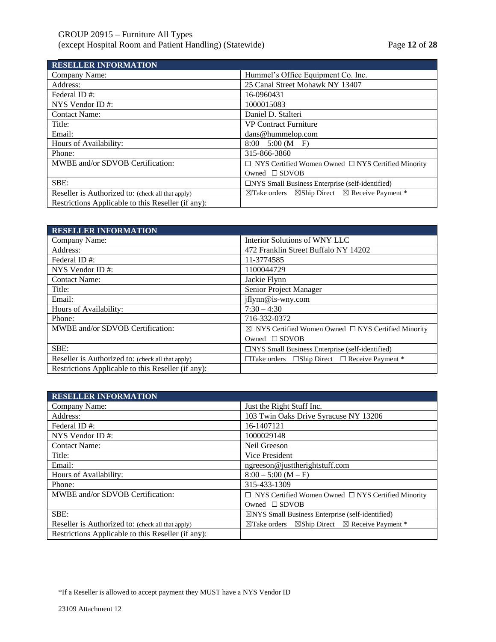| <b>RESELLER INFORMATION</b>                        |                                                                                  |
|----------------------------------------------------|----------------------------------------------------------------------------------|
| Company Name:                                      | Hummel's Office Equipment Co. Inc.                                               |
| Address:                                           | 25 Canal Street Mohawk NY 13407                                                  |
| Federal ID#:                                       | 16-0960431                                                                       |
| NYS Vendor ID $#$ :                                | 1000015083                                                                       |
| <b>Contact Name:</b>                               | Daniel D. Stalteri                                                               |
| Title:                                             | <b>VP Contract Furniture</b>                                                     |
| Email:                                             | dans@hummelop.com                                                                |
| Hours of Availability:                             | $8:00 - 5:00$ (M - F)                                                            |
| Phone:                                             | 315-866-3860                                                                     |
| MWBE and/or SDVOB Certification:                   | $\Box$ NYS Certified Women Owned $\Box$ NYS Certified Minority                   |
|                                                    | Owned $\square$ SDVOB                                                            |
| SBE:                                               | $\Box$ NYS Small Business Enterprise (self-identified)                           |
| Reseller is Authorized to: (check all that apply)  | $\boxtimes$ Ship Direct $\boxtimes$ Receive Payment *<br>$\boxtimes$ Take orders |
| Restrictions Applicable to this Reseller (if any): |                                                                                  |

| <b>RESELLER INFORMATION</b>                        |                                                                     |
|----------------------------------------------------|---------------------------------------------------------------------|
| Company Name:                                      | Interior Solutions of WNY LLC                                       |
| Address:                                           | 472 Franklin Street Buffalo NY 14202                                |
| Federal ID#:                                       | 11-3774585                                                          |
| NYS Vendor ID $#$ :                                | 1100044729                                                          |
| <b>Contact Name:</b>                               | Jackie Flynn                                                        |
| Title:                                             | Senior Project Manager                                              |
| Email:                                             | iflynn@is-wny.com                                                   |
| Hours of Availability:                             | $7:30 - 4:30$                                                       |
| Phone:                                             | 716-332-0372                                                        |
| MWBE and/or SDVOB Certification:                   | $\boxtimes$ NYS Certified Women Owned $\Box$ NYS Certified Minority |
|                                                    | Owned $\square$ SDVOB                                               |
| SBE:                                               | $\Box$ NYS Small Business Enterprise (self-identified)              |
| Reseller is Authorized to: (check all that apply)  | $\Box$ Take orders $\Box$ Ship Direct $\Box$ Receive Payment *      |
| Restrictions Applicable to this Reseller (if any): |                                                                     |

| <b>RESELLER INFORMATION</b>                        |                                                                                  |
|----------------------------------------------------|----------------------------------------------------------------------------------|
| Company Name:                                      | Just the Right Stuff Inc.                                                        |
| Address:                                           | 103 Twin Oaks Drive Syracuse NY 13206                                            |
| Federal ID#:                                       | 16-1407121                                                                       |
| NYS Vendor ID $#$ :                                | 1000029148                                                                       |
| <b>Contact Name:</b>                               | Neil Greeson                                                                     |
| Title:                                             | Vice President                                                                   |
| Email:                                             | ngreeson@justtherightstuff.com                                                   |
| Hours of Availability:                             | $8:00 - 5:00 (M - F)$                                                            |
| Phone:                                             | 315-433-1309                                                                     |
| MWBE and/or SDVOB Certification:                   | $\Box$ NYS Certified Women Owned $\Box$ NYS Certified Minority                   |
|                                                    | Owned $\square$ SDVOB                                                            |
| SBE:                                               | $\boxtimes$ NYS Small Business Enterprise (self-identified)                      |
| Reseller is Authorized to: (check all that apply)  | $\boxtimes$ Ship Direct $\boxtimes$ Receive Payment *<br>$\boxtimes$ Take orders |
| Restrictions Applicable to this Reseller (if any): |                                                                                  |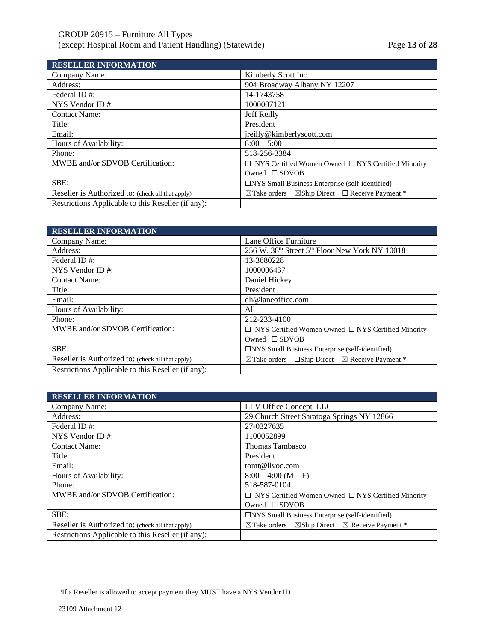# GROUP 20915 – Furniture All Types (except Hospital Room and Patient Handling) (Statewide) Page **13** of **28**

| <b>RESELLER INFORMATION</b>                        |                                                                             |
|----------------------------------------------------|-----------------------------------------------------------------------------|
| Company Name:                                      | Kimberly Scott Inc.                                                         |
| Address:                                           | 904 Broadway Albany NY 12207                                                |
| Federal ID#:                                       | 14-1743758                                                                  |
| NYS Vendor ID $#$ :                                | 1000007121                                                                  |
| <b>Contact Name:</b>                               | Jeff Reilly                                                                 |
| Title:                                             | President                                                                   |
| Email:                                             | jreilly@kimberlyscott.com                                                   |
| Hours of Availability:                             | $8:00 - 5:00$                                                               |
| Phone:                                             | 518-256-3384                                                                |
| MWBE and/or SDVOB Certification:                   | $\Box$ NYS Certified Women Owned $\Box$ NYS Certified Minority              |
|                                                    | Owned $\square$ SDVOB                                                       |
| SBE:                                               | $\Box$ NYS Small Business Enterprise (self-identified)                      |
| Reseller is Authorized to: (check all that apply)  | $\boxtimes$ Ship Direct $\Box$ Receive Payment *<br>$\boxtimes$ Take orders |
| Restrictions Applicable to this Reseller (if any): |                                                                             |

| <b>RESELLER INFORMATION</b>                        |                                                                          |
|----------------------------------------------------|--------------------------------------------------------------------------|
| Company Name:                                      | Lane Office Furniture                                                    |
| Address:                                           | 256 W. 38 <sup>th</sup> Street 5 <sup>th</sup> Floor New York NY 10018   |
| Federal ID#:                                       | 13-3680228                                                               |
| NYS Vendor ID $#$ :                                | 1000006437                                                               |
| <b>Contact Name:</b>                               | Daniel Hickey                                                            |
| Title:                                             | President                                                                |
| Email:                                             | dh@laneoffice.com                                                        |
| Hours of Availability:                             | All                                                                      |
| Phone:                                             | 212-233-4100                                                             |
| MWBE and/or SDVOB Certification:                   | $\Box$ NYS Certified Women Owned $\Box$ NYS Certified Minority           |
|                                                    | Owned $\square$ SDVOB                                                    |
| SBE:                                               | $\Box$ NYS Small Business Enterprise (self-identified)                   |
| Reseller is Authorized to: (check all that apply)  | $\boxtimes$ Take orders $\Box$ Ship Direct $\boxtimes$ Receive Payment * |
| Restrictions Applicable to this Reseller (if any): |                                                                          |

| <b>RESELLER INFORMATION</b>                        |                                                                                  |
|----------------------------------------------------|----------------------------------------------------------------------------------|
| Company Name:                                      | LLV Office Concept LLC                                                           |
| Address:                                           | 29 Church Street Saratoga Springs NY 12866                                       |
| Federal ID#:                                       | 27-0327635                                                                       |
| NYS Vendor ID $#$ :                                | 1100052899                                                                       |
| <b>Contact Name:</b>                               | <b>Thomas Tambasco</b>                                                           |
| Title:                                             | President                                                                        |
| Email:                                             | $tom(\emptyset$ llvoc.com                                                        |
| Hours of Availability:                             | $8:00 - 4:00 (M - F)$                                                            |
| Phone:                                             | 518-587-0104                                                                     |
| MWBE and/or SDVOB Certification:                   | $\Box$ NYS Certified Women Owned $\Box$ NYS Certified Minority                   |
|                                                    | Owned $\square$ SDVOB                                                            |
| SBE:                                               | $\Box$ NYS Small Business Enterprise (self-identified)                           |
| Reseller is Authorized to: (check all that apply)  | $\boxtimes$ Ship Direct $\boxtimes$ Receive Payment *<br>$\boxtimes$ Take orders |
| Restrictions Applicable to this Reseller (if any): |                                                                                  |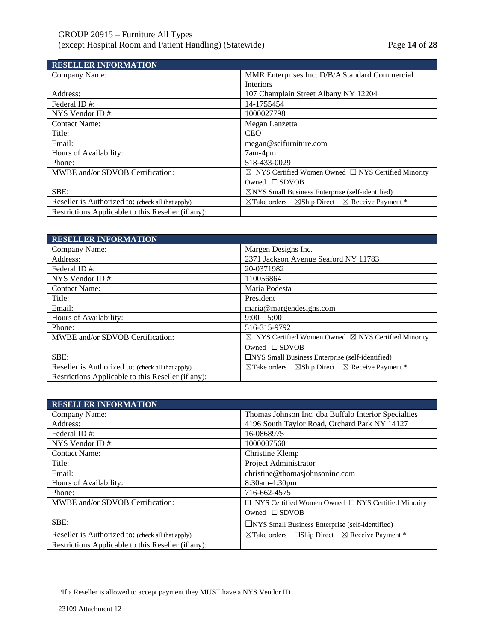**RESELVED INFORMATIONS** 

| RESELLER INFORMATION                               |                                                                                  |
|----------------------------------------------------|----------------------------------------------------------------------------------|
| Company Name:                                      | MMR Enterprises Inc. D/B/A Standard Commercial                                   |
|                                                    | <b>Interiors</b>                                                                 |
| Address:                                           | 107 Champlain Street Albany NY 12204                                             |
| Federal ID#:                                       | 14-1755454                                                                       |
| NYS Vendor ID#:                                    | 1000027798                                                                       |
| <b>Contact Name:</b>                               | Megan Lanzetta                                                                   |
| Title:                                             | <b>CEO</b>                                                                       |
| Email:                                             | megan@scifurniture.com                                                           |
| Hours of Availability:                             | 7am-4pm                                                                          |
| Phone:                                             | 518-433-0029                                                                     |
| MWBE and/or SDVOB Certification:                   | $\boxtimes$ NYS Certified Women Owned $\Box$ NYS Certified Minority              |
|                                                    | Owned $\square$ SDVOB                                                            |
| SBE:                                               | $\boxtimes$ NYS Small Business Enterprise (self-identified)                      |
| Reseller is Authorized to: (check all that apply)  | $\boxtimes$ Ship Direct $\boxtimes$ Receive Payment *<br>$\boxtimes$ Take orders |
| Restrictions Applicable to this Reseller (if any): |                                                                                  |

| <b>RESELLER INFORMATION</b>                        |                                                                               |
|----------------------------------------------------|-------------------------------------------------------------------------------|
| Company Name:                                      | Margen Designs Inc.                                                           |
| Address:                                           | 2371 Jackson Avenue Seaford NY 11783                                          |
| Federal ID#:                                       | 20-0371982                                                                    |
| NYS Vendor ID $#$ :                                | 110056864                                                                     |
| <b>Contact Name:</b>                               | Maria Podesta                                                                 |
| Title:                                             | President                                                                     |
| Email:                                             | maria@margendesigns.com                                                       |
| Hours of Availability:                             | $9:00-5:00$                                                                   |
| Phone:                                             | 516-315-9792                                                                  |
| MWBE and/or SDVOB Certification:                   | $\boxtimes$ NYS Certified Women Owned $\boxtimes$ NYS Certified Minority      |
|                                                    | Owned $\square$ SDVOB                                                         |
| SBE:                                               | $\Box$ NYS Small Business Enterprise (self-identified)                        |
| Reseller is Authorized to: (check all that apply)  | $\boxtimes$ Take orders $\boxtimes$ Ship Direct $\boxtimes$ Receive Payment * |
| Restrictions Applicable to this Reseller (if any): |                                                                               |

| <b>RESELLER INFORMATION</b>                        |                                                                          |
|----------------------------------------------------|--------------------------------------------------------------------------|
| Company Name:                                      | Thomas Johnson Inc, dba Buffalo Interior Specialties                     |
| Address:                                           | 4196 South Taylor Road, Orchard Park NY 14127                            |
| Federal ID#:                                       | 16-0868975                                                               |
| NYS Vendor ID $#$ :                                | 1000007560                                                               |
| <b>Contact Name:</b>                               | Christine Klemp                                                          |
| Title:                                             | Project Administrator                                                    |
| Email:                                             | christine@thomasjohnsoninc.com                                           |
| Hours of Availability:                             | 8:30am-4:30pm                                                            |
| Phone:                                             | 716-662-4575                                                             |
| MWBE and/or SDVOB Certification:                   | $\Box$ NYS Certified Women Owned $\Box$ NYS Certified Minority           |
|                                                    | Owned $\square$ SDVOB                                                    |
| SBE:                                               | $\Box$ NYS Small Business Enterprise (self-identified)                   |
| Reseller is Authorized to: (check all that apply)  | $\boxtimes$ Take orders $\Box$ Ship Direct $\boxtimes$ Receive Payment * |
| Restrictions Applicable to this Reseller (if any): |                                                                          |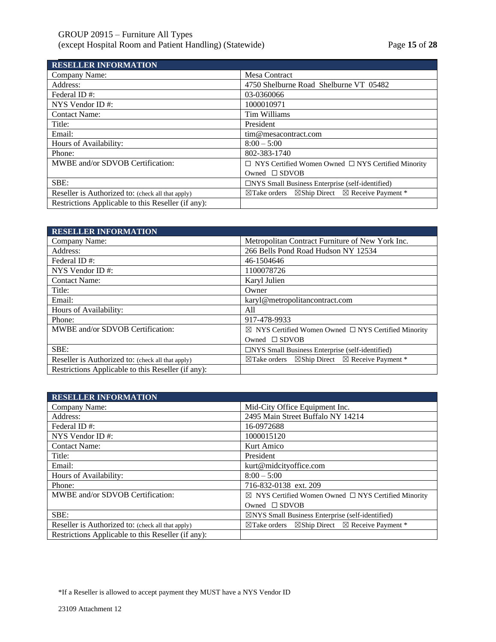# GROUP 20915 – Furniture All Types (except Hospital Room and Patient Handling) (Statewide) Page **15** of **28**

| <b>RESELLER INFORMATION</b>                        |                                                                                  |
|----------------------------------------------------|----------------------------------------------------------------------------------|
| Company Name:                                      | <b>Mesa Contract</b>                                                             |
| Address:                                           | 4750 Shelburne Road Shelburne VT 05482                                           |
| Federal ID#:                                       | 03-0360066                                                                       |
| NYS Vendor ID $#$ :                                | 1000010971                                                                       |
| <b>Contact Name:</b>                               | Tim Williams                                                                     |
| Title:                                             | President                                                                        |
| Email:                                             | tim@mesacontract.com                                                             |
| Hours of Availability:                             | $8:00 - 5:00$                                                                    |
| Phone:                                             | 802-383-1740                                                                     |
| MWBE and/or SDVOB Certification:                   | $\Box$ NYS Certified Women Owned $\Box$ NYS Certified Minority                   |
|                                                    | Owned $\square$ SDVOB                                                            |
| SBE:                                               | $\Box$ NYS Small Business Enterprise (self-identified)                           |
| Reseller is Authorized to: (check all that apply)  | $\boxtimes$ Ship Direct $\boxtimes$ Receive Payment *<br>$\boxtimes$ Take orders |
| Restrictions Applicable to this Reseller (if any): |                                                                                  |

| <b>RESELLER INFORMATION</b>                        |                                                                               |
|----------------------------------------------------|-------------------------------------------------------------------------------|
| Company Name:                                      | Metropolitan Contract Furniture of New York Inc.                              |
| Address:                                           | 266 Bells Pond Road Hudson NY 12534                                           |
| Federal ID#:                                       | 46-1504646                                                                    |
| NYS Vendor ID $#$ :                                | 1100078726                                                                    |
| <b>Contact Name:</b>                               | Karyl Julien                                                                  |
| Title:                                             | Owner                                                                         |
| Email:                                             | karyl@metropolitancontract.com                                                |
| Hours of Availability:                             | All                                                                           |
| Phone:                                             | 917-478-9933                                                                  |
| MWBE and/or SDVOB Certification:                   | $\boxtimes$ NYS Certified Women Owned $\Box$ NYS Certified Minority           |
|                                                    | Owned $\square$ SDVOB                                                         |
| SBE:                                               | □NYS Small Business Enterprise (self-identified)                              |
| Reseller is Authorized to: (check all that apply)  | $\boxtimes$ Take orders $\boxtimes$ Ship Direct $\boxtimes$ Receive Payment * |
| Restrictions Applicable to this Reseller (if any): |                                                                               |

| <b>RESELLER INFORMATION</b>                        |                                                                                  |
|----------------------------------------------------|----------------------------------------------------------------------------------|
| Company Name:                                      | Mid-City Office Equipment Inc.                                                   |
| Address:                                           | 2495 Main Street Buffalo NY 14214                                                |
| Federal ID#:                                       | 16-0972688                                                                       |
| NYS Vendor ID $#$ :                                | 1000015120                                                                       |
| <b>Contact Name:</b>                               | Kurt Amico                                                                       |
| Title:                                             | President                                                                        |
| Email:                                             | kurt@midcityoffice.com                                                           |
| Hours of Availability:                             | $8:00 - 5:00$                                                                    |
| Phone:                                             | 716-832-0138 ext. 209                                                            |
| MWBE and/or SDVOB Certification:                   | $\boxtimes$ NYS Certified Women Owned $\Box$ NYS Certified Minority              |
|                                                    | Owned $\square$ SDVOB                                                            |
| SBE:                                               | $\boxtimes$ NYS Small Business Enterprise (self-identified)                      |
| Reseller is Authorized to: (check all that apply)  | $\boxtimes$ Ship Direct $\boxtimes$ Receive Payment *<br>$\boxtimes$ Take orders |
| Restrictions Applicable to this Reseller (if any): |                                                                                  |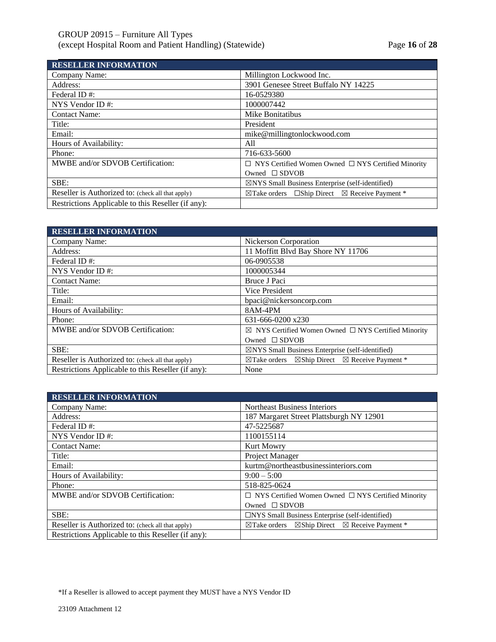# GROUP 20915 – Furniture All Types (except Hospital Room and Patient Handling) (Statewide) Page **16** of **28**

| <b>RESELLER INFORMATION</b>                        |                                                                          |
|----------------------------------------------------|--------------------------------------------------------------------------|
| Company Name:                                      | Millington Lockwood Inc.                                                 |
| Address:                                           | 3901 Genesee Street Buffalo NY 14225                                     |
| Federal ID#:                                       | 16-0529380                                                               |
| NYS Vendor ID $#$ :                                | 1000007442                                                               |
| <b>Contact Name:</b>                               | Mike Bonitatibus                                                         |
| Title:                                             | President                                                                |
| Email:                                             | mike@millingtonlockwood.com                                              |
| Hours of Availability:                             | All                                                                      |
| Phone:                                             | 716-633-5600                                                             |
| MWBE and/or SDVOB Certification:                   | $\Box$ NYS Certified Women Owned $\Box$ NYS Certified Minority           |
|                                                    | Owned $\square$ SDVOB                                                    |
| SBE:                                               | $\boxtimes$ NYS Small Business Enterprise (self-identified)              |
| Reseller is Authorized to: (check all that apply)  | $\boxtimes$ Take orders $\Box$ Ship Direct $\boxtimes$ Receive Payment * |
| Restrictions Applicable to this Reseller (if any): |                                                                          |

| <b>RESELLER INFORMATION</b>                        |                                                                                  |
|----------------------------------------------------|----------------------------------------------------------------------------------|
| Company Name:                                      | Nickerson Corporation                                                            |
| Address:                                           | 11 Moffitt Blvd Bay Shore NY 11706                                               |
| Federal ID#:                                       | 06-0905538                                                                       |
| NYS Vendor ID#:                                    | 1000005344                                                                       |
| <b>Contact Name:</b>                               | Bruce J Paci                                                                     |
| Title:                                             | <b>Vice President</b>                                                            |
| Email:                                             | bpaci@nickersoncorp.com                                                          |
| Hours of Availability:                             | 8AM-4PM                                                                          |
| Phone:                                             | 631-666-0200 x230                                                                |
| MWBE and/or SDVOB Certification:                   | $\boxtimes$ NYS Certified Women Owned $\Box$ NYS Certified Minority              |
|                                                    | Owned $\square$ SDVOB                                                            |
| SBE:                                               | $\boxtimes$ NYS Small Business Enterprise (self-identified)                      |
| Reseller is Authorized to: (check all that apply)  | $\boxtimes$ Ship Direct $\boxtimes$ Receive Payment *<br>$\boxtimes$ Take orders |
| Restrictions Applicable to this Reseller (if any): | None                                                                             |

| <b>RESELLER INFORMATION</b>                        |                                                                               |
|----------------------------------------------------|-------------------------------------------------------------------------------|
| Company Name:                                      | <b>Northeast Business Interiors</b>                                           |
| Address:                                           | 187 Margaret Street Plattsburgh NY 12901                                      |
| Federal ID#:                                       | 47-5225687                                                                    |
| NYS Vendor ID $#$ :                                | 1100155114                                                                    |
| <b>Contact Name:</b>                               | <b>Kurt Mowry</b>                                                             |
| Title:                                             | Project Manager                                                               |
| Email:                                             | kurtm@northeastbusinessinteriors.com                                          |
| Hours of Availability:                             | $9:00-5:00$                                                                   |
| Phone:                                             | 518-825-0624                                                                  |
| MWBE and/or SDVOB Certification:                   | $\Box$ NYS Certified Women Owned $\Box$ NYS Certified Minority                |
|                                                    | Owned $\square$ SDVOB                                                         |
| SBE:                                               | $\Box$ NYS Small Business Enterprise (self-identified)                        |
| Reseller is Authorized to: (check all that apply)  | $\boxtimes$ Take orders $\boxtimes$ Ship Direct $\boxtimes$ Receive Payment * |
| Restrictions Applicable to this Reseller (if any): |                                                                               |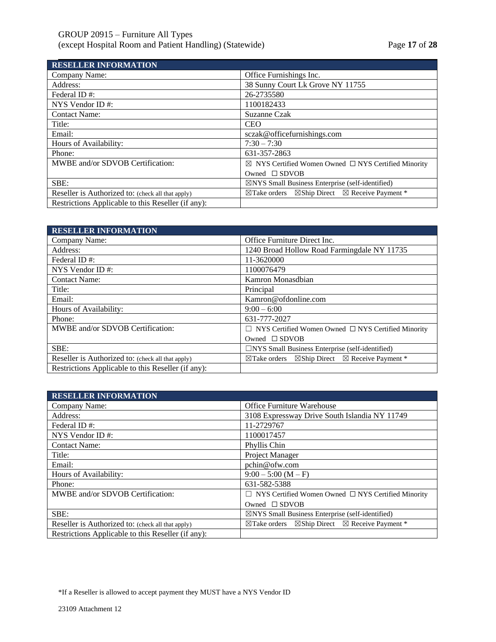# GROUP 20915 – Furniture All Types (except Hospital Room and Patient Handling) (Statewide) Page **17** of **28**

| <b>RESELLER INFORMATION</b>                        |                                                                                  |
|----------------------------------------------------|----------------------------------------------------------------------------------|
| Company Name:                                      | Office Furnishings Inc.                                                          |
| Address:                                           | 38 Sunny Court Lk Grove NY 11755                                                 |
| Federal ID#:                                       | 26-2735580                                                                       |
| NYS Vendor ID $#$ :                                | 1100182433                                                                       |
| <b>Contact Name:</b>                               | Suzanne Czak                                                                     |
| Title:                                             | <b>CEO</b>                                                                       |
| Email:                                             | sczak@officefurnishings.com                                                      |
| Hours of Availability:                             | $7:30 - 7:30$                                                                    |
| Phone:                                             | 631-357-2863                                                                     |
| MWBE and/or SDVOB Certification:                   | $\boxtimes$ NYS Certified Women Owned $\Box$ NYS Certified Minority              |
|                                                    | Owned $\square$ SDVOB                                                            |
| SBE:                                               | $\boxtimes$ NYS Small Business Enterprise (self-identified)                      |
| Reseller is Authorized to: (check all that apply)  | $\boxtimes$ Ship Direct $\boxtimes$ Receive Payment *<br>$\boxtimes$ Take orders |
| Restrictions Applicable to this Reseller (if any): |                                                                                  |

| <b>RESELLER INFORMATION</b>                        |                                                                                  |
|----------------------------------------------------|----------------------------------------------------------------------------------|
| Company Name:                                      | Office Furniture Direct Inc.                                                     |
| Address:                                           | 1240 Broad Hollow Road Farmingdale NY 11735                                      |
| Federal ID#:                                       | 11-3620000                                                                       |
| NYS Vendor ID $#$ :                                | 1100076479                                                                       |
| <b>Contact Name:</b>                               | Kamron Monasdbian                                                                |
| Title:                                             | Principal                                                                        |
| Email:                                             | Kamron@ofdonline.com                                                             |
| Hours of Availability:                             | $9:00-6:00$                                                                      |
| Phone:                                             | 631-777-2027                                                                     |
| MWBE and/or SDVOB Certification:                   | NYS Certified Women Owned $\Box$ NYS Certified Minority                          |
|                                                    | Owned $\square$ SDVOB                                                            |
| SBE:                                               | $\Box$ NYS Small Business Enterprise (self-identified)                           |
| Reseller is Authorized to: (check all that apply)  | $\boxtimes$ Ship Direct $\boxtimes$ Receive Payment *<br>$\boxtimes$ Take orders |
| Restrictions Applicable to this Reseller (if any): |                                                                                  |

| <b>RESELLER INFORMATION</b>                        |                                                                                  |
|----------------------------------------------------|----------------------------------------------------------------------------------|
| Company Name:                                      | <b>Office Furniture Warehouse</b>                                                |
| Address:                                           | 3108 Expressway Drive South Islandia NY 11749                                    |
| Federal ID#:                                       | 11-2729767                                                                       |
| NYS Vendor ID $#$ :                                | 1100017457                                                                       |
| <b>Contact Name:</b>                               | Phyllis Chin                                                                     |
| Title:                                             | Project Manager                                                                  |
| Email:                                             | pchin@ofw.com                                                                    |
| Hours of Availability:                             | $9:00 - 5:00 (M - F)$                                                            |
| Phone:                                             | 631-582-5388                                                                     |
| MWBE and/or SDVOB Certification:                   | $\Box$ NYS Certified Women Owned $\Box$ NYS Certified Minority                   |
|                                                    | Owned $\square$ SDVOB                                                            |
| SBE:                                               | $\boxtimes$ NYS Small Business Enterprise (self-identified)                      |
| Reseller is Authorized to: (check all that apply)  | $\boxtimes$ Ship Direct $\boxtimes$ Receive Payment *<br>$\boxtimes$ Take orders |
| Restrictions Applicable to this Reseller (if any): |                                                                                  |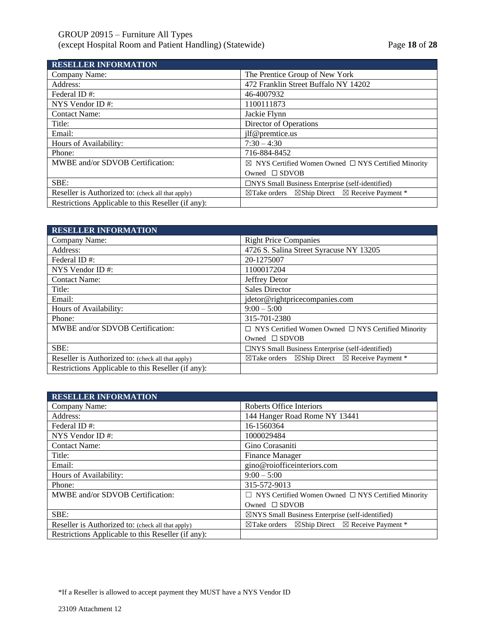| <b>RESELLER INFORMATION</b>                        |                                                                                  |
|----------------------------------------------------|----------------------------------------------------------------------------------|
| Company Name:                                      | The Prentice Group of New York                                                   |
| Address:                                           | 472 Franklin Street Buffalo NY 14202                                             |
| Federal ID#:                                       | 46-4007932                                                                       |
| NYS Vendor ID $#$ :                                | 1100111873                                                                       |
| <b>Contact Name:</b>                               | Jackie Flynn                                                                     |
| Title:                                             | Director of Operations                                                           |
| Email:                                             | jlf@premtice.us                                                                  |
| Hours of Availability:                             | $7:30 - 4:30$                                                                    |
| Phone:                                             | 716-884-8452                                                                     |
| MWBE and/or SDVOB Certification:                   | $\boxtimes$ NYS Certified Women Owned $\Box$ NYS Certified Minority              |
|                                                    | Owned $\square$ SDVOB                                                            |
| SBE:                                               | $\Box$ NYS Small Business Enterprise (self-identified)                           |
| Reseller is Authorized to: (check all that apply)  | $\boxtimes$ Ship Direct $\boxtimes$ Receive Payment *<br>$\boxtimes$ Take orders |
| Restrictions Applicable to this Reseller (if any): |                                                                                  |

| <b>RESELLER INFORMATION</b>                        |                                                                                  |
|----------------------------------------------------|----------------------------------------------------------------------------------|
| Company Name:                                      | <b>Right Price Companies</b>                                                     |
| Address:                                           | 4726 S. Salina Street Syracuse NY 13205                                          |
| Federal ID#:                                       | 20-1275007                                                                       |
| NYS Vendor ID#:                                    | 1100017204                                                                       |
| <b>Contact Name:</b>                               | Jeffrey Detor                                                                    |
| Title:                                             | <b>Sales Director</b>                                                            |
| Email:                                             | jdetor@rightpricecompanies.com                                                   |
| Hours of Availability:                             | $9:00 - 5:00$                                                                    |
| Phone:                                             | 315-701-2380                                                                     |
| MWBE and/or SDVOB Certification:                   | $\Box$ NYS Certified Women Owned $\Box$ NYS Certified Minority                   |
|                                                    | Owned $\square$ SDVOB                                                            |
| SBE:                                               | $\Box$ NYS Small Business Enterprise (self-identified)                           |
| Reseller is Authorized to: (check all that apply)  | $\boxtimes$ Ship Direct $\boxtimes$ Receive Payment *<br>$\boxtimes$ Take orders |
| Restrictions Applicable to this Reseller (if any): |                                                                                  |

| <b>RESELLER INFORMATION</b>                        |                                                                                  |
|----------------------------------------------------|----------------------------------------------------------------------------------|
| Company Name:                                      | Roberts Office Interiors                                                         |
| Address:                                           | 144 Hanger Road Rome NY 13441                                                    |
| Federal ID#:                                       | 16-1560364                                                                       |
| NYS Vendor ID $#$ :                                | 1000029484                                                                       |
| <b>Contact Name:</b>                               | Gino Corasaniti                                                                  |
| Title:                                             | <b>Finance Manager</b>                                                           |
| Email:                                             | gino@roiofficeinteriors.com                                                      |
| Hours of Availability:                             | $9:00-5:00$                                                                      |
| Phone:                                             | 315-572-9013                                                                     |
| MWBE and/or SDVOB Certification:                   | $\Box$ NYS Certified Women Owned $\Box$ NYS Certified Minority                   |
|                                                    | Owned $\square$ SDVOB                                                            |
| SBE:                                               | $\boxtimes$ NYS Small Business Enterprise (self-identified)                      |
| Reseller is Authorized to: (check all that apply)  | $\boxtimes$ Ship Direct $\boxtimes$ Receive Payment *<br>$\boxtimes$ Take orders |
| Restrictions Applicable to this Reseller (if any): |                                                                                  |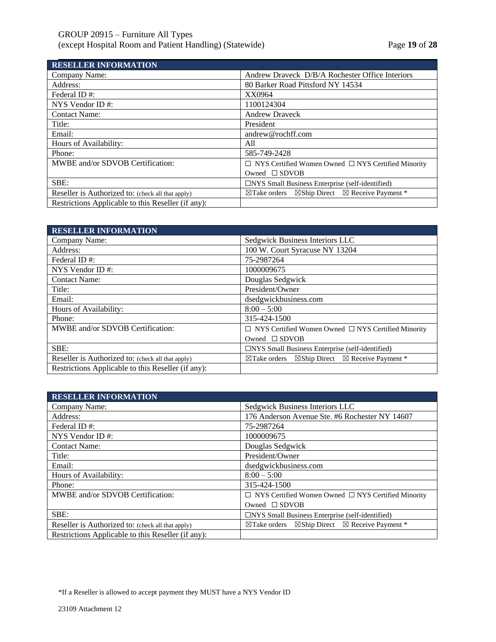**RESELLER INFORMATION**

| RESELLER INFORMATION                               |                                                                                  |
|----------------------------------------------------|----------------------------------------------------------------------------------|
| Company Name:                                      | Andrew Draveck D/B/A Rochester Office Interiors                                  |
| Address:                                           | 80 Barker Road Pittsford NY 14534                                                |
| Federal ID#:                                       | XX0964                                                                           |
| NYS Vendor ID#:                                    | 1100124304                                                                       |
| <b>Contact Name:</b>                               | <b>Andrew Draveck</b>                                                            |
| Title:                                             | President                                                                        |
| Email:                                             | andrew@rochff.com                                                                |
| Hours of Availability:                             | All                                                                              |
| Phone:                                             | 585-749-2428                                                                     |
| MWBE and/or SDVOB Certification:                   | $\Box$ NYS Certified Women Owned $\Box$ NYS Certified Minority                   |
|                                                    | Owned $\square$ SDVOB                                                            |
| SBE:                                               | $\Box$ NYS Small Business Enterprise (self-identified)                           |
| Reseller is Authorized to: (check all that apply)  | $\boxtimes$ Ship Direct $\boxtimes$ Receive Payment *<br>$\boxtimes$ Take orders |
| Restrictions Applicable to this Reseller (if any): |                                                                                  |

| <b>RESELLER INFORMATION</b>                        |                                                                                  |
|----------------------------------------------------|----------------------------------------------------------------------------------|
| Company Name:                                      | Sedgwick Business Interiors LLC                                                  |
| Address:                                           | 100 W. Court Syracuse NY 13204                                                   |
| Federal ID#:                                       | 75-2987264                                                                       |
| NYS Vendor ID#:                                    | 1000009675                                                                       |
| <b>Contact Name:</b>                               | Douglas Sedgwick                                                                 |
| Title:                                             | President/Owner                                                                  |
| Email:                                             | dsedgwickbusiness.com                                                            |
| Hours of Availability:                             | $8:00 - 5:00$                                                                    |
| Phone:                                             | 315-424-1500                                                                     |
| MWBE and/or SDVOB Certification:                   | $\Box$ NYS Certified Women Owned $\Box$ NYS Certified Minority                   |
|                                                    | Owned $\square$ SDVOB                                                            |
| SBE:                                               | □NYS Small Business Enterprise (self-identified)                                 |
| Reseller is Authorized to: (check all that apply)  | $\boxtimes$ Ship Direct $\boxtimes$ Receive Payment *<br>$\boxtimes$ Take orders |
| Restrictions Applicable to this Reseller (if any): |                                                                                  |

| <b>RESELLER INFORMATION</b>                        |                                                                               |
|----------------------------------------------------|-------------------------------------------------------------------------------|
| Company Name:                                      | Sedgwick Business Interiors LLC                                               |
| Address:                                           | 176 Anderson Avenue Ste. #6 Rochester NY 14607                                |
| Federal ID#:                                       | 75-2987264                                                                    |
| NYS Vendor ID $#$ :                                | 1000009675                                                                    |
| <b>Contact Name:</b>                               | Douglas Sedgwick                                                              |
| Title:                                             | President/Owner                                                               |
| Email:                                             | dsedgwickbusiness.com                                                         |
| Hours of Availability:                             | $8:00 - 5:00$                                                                 |
| Phone:                                             | 315-424-1500                                                                  |
| MWBE and/or SDVOB Certification:                   | $\Box$ NYS Certified Women Owned $\Box$ NYS Certified Minority                |
|                                                    | Owned $\square$ SDVOB                                                         |
| SBE:                                               | $\Box$ NYS Small Business Enterprise (self-identified)                        |
| Reseller is Authorized to: (check all that apply)  | $\boxtimes$ Take orders $\boxtimes$ Ship Direct $\boxtimes$ Receive Payment * |
| Restrictions Applicable to this Reseller (if any): |                                                                               |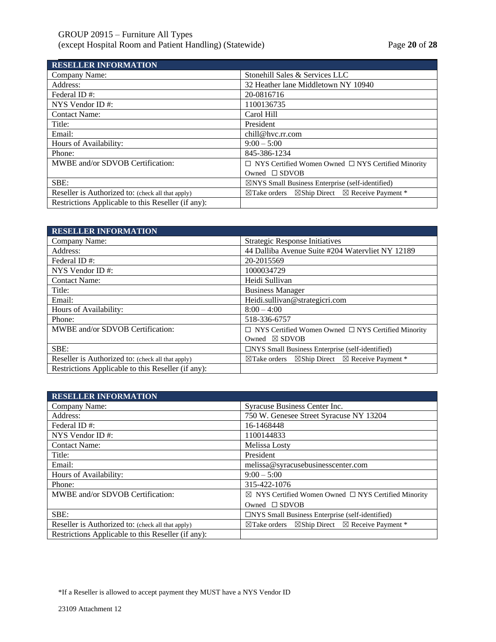# GROUP 20915 – Furniture All Types (except Hospital Room and Patient Handling) (Statewide) Page **20** of **28**

| <b>RESELLER INFORMATION</b>                        |                                                                                  |
|----------------------------------------------------|----------------------------------------------------------------------------------|
| Company Name:                                      | Stonehill Sales & Services LLC                                                   |
| Address:                                           | 32 Heather lane Middletown NY 10940                                              |
| Federal ID#:                                       | 20-0816716                                                                       |
| NYS Vendor ID $#$ :                                | 1100136735                                                                       |
| <b>Contact Name:</b>                               | Carol Hill                                                                       |
| Title:                                             | President                                                                        |
| Email:                                             | chill@hvc.rr.com                                                                 |
| Hours of Availability:                             | $9:00 - 5:00$                                                                    |
| Phone:                                             | 845-386-1234                                                                     |
| MWBE and/or SDVOB Certification:                   | $\Box$ NYS Certified Women Owned $\Box$ NYS Certified Minority                   |
|                                                    | Owned $\square$ SDVOB                                                            |
| SBE:                                               | $\boxtimes$ NYS Small Business Enterprise (self-identified)                      |
| Reseller is Authorized to: (check all that apply)  | $\boxtimes$ Ship Direct $\boxtimes$ Receive Payment *<br>$\boxtimes$ Take orders |
| Restrictions Applicable to this Reseller (if any): |                                                                                  |

| <b>RESELLER INFORMATION</b>                        |                                                                                  |
|----------------------------------------------------|----------------------------------------------------------------------------------|
| Company Name:                                      | <b>Strategic Response Initiatives</b>                                            |
| Address:                                           | 44 Dalliba Avenue Suite #204 Watervliet NY 12189                                 |
| Federal ID#:                                       | 20-2015569                                                                       |
| NYS Vendor ID#:                                    | 1000034729                                                                       |
| <b>Contact Name:</b>                               | Heidi Sullivan                                                                   |
| Title:                                             | <b>Business Manager</b>                                                          |
| Email:                                             | Heidi.sullivan@strategicri.com                                                   |
| Hours of Availability:                             | $8:00 - 4:00$                                                                    |
| Phone:                                             | 518-336-6757                                                                     |
| MWBE and/or SDVOB Certification:                   | $\Box$ NYS Certified Women Owned $\Box$ NYS Certified Minority                   |
|                                                    | Owned $\boxtimes$ SDVOB                                                          |
| SBE:                                               | $\Box$ NYS Small Business Enterprise (self-identified)                           |
| Reseller is Authorized to: (check all that apply)  | $\boxtimes$ Ship Direct $\boxtimes$ Receive Payment *<br>$\boxtimes$ Take orders |
| Restrictions Applicable to this Reseller (if any): |                                                                                  |

| <b>RESELLER INFORMATION</b>                        |                                                                                  |
|----------------------------------------------------|----------------------------------------------------------------------------------|
| Company Name:                                      | Syracuse Business Center Inc.                                                    |
| Address:                                           | 750 W. Genesee Street Syracuse NY 13204                                          |
| Federal ID#:                                       | 16-1468448                                                                       |
| NYS Vendor ID $#$ :                                | 1100144833                                                                       |
| <b>Contact Name:</b>                               | Melissa Losty                                                                    |
| Title:                                             | President                                                                        |
| Email:                                             | melissa@syracusebusinesscenter.com                                               |
| Hours of Availability:                             | $9:00-5:00$                                                                      |
| Phone:                                             | 315-422-1076                                                                     |
| MWBE and/or SDVOB Certification:                   | $\boxtimes$ NYS Certified Women Owned $\Box$ NYS Certified Minority              |
|                                                    | Owned $\square$ SDVOB                                                            |
| SBE:                                               | $\Box$ NYS Small Business Enterprise (self-identified)                           |
| Reseller is Authorized to: (check all that apply)  | $\boxtimes$ Ship Direct $\boxtimes$ Receive Payment *<br>$\boxtimes$ Take orders |
| Restrictions Applicable to this Reseller (if any): |                                                                                  |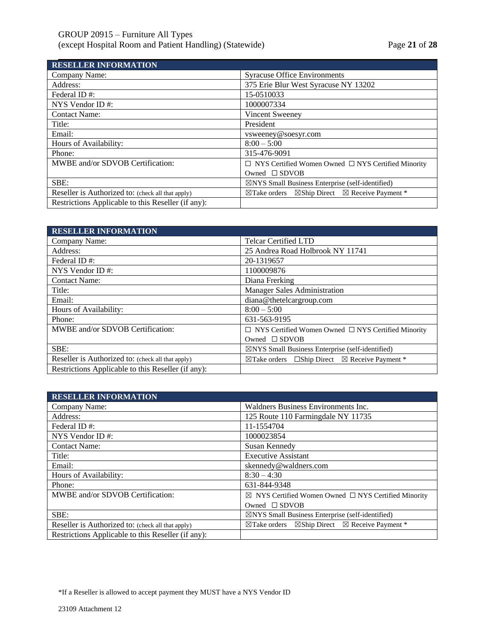| <b>RESELLER INFORMATION</b>                        |                                                                                  |
|----------------------------------------------------|----------------------------------------------------------------------------------|
| Company Name:                                      | <b>Syracuse Office Environments</b>                                              |
| Address:                                           | 375 Erie Blur West Syracuse NY 13202                                             |
| Federal ID#:                                       | 15-0510033                                                                       |
| NYS Vendor ID#:                                    | 1000007334                                                                       |
| <b>Contact Name:</b>                               | Vincent Sweeney                                                                  |
| Title:                                             | President                                                                        |
| Email:                                             | vsweeney@soesyr.com                                                              |
| Hours of Availability:                             | $8:00 - 5:00$                                                                    |
| Phone:                                             | 315-476-9091                                                                     |
| MWBE and/or SDVOB Certification:                   | $\Box$ NYS Certified Women Owned $\Box$ NYS Certified Minority                   |
|                                                    | Owned $\square$ SDVOB                                                            |
| SBE:                                               | $\boxtimes$ NYS Small Business Enterprise (self-identified)                      |
| Reseller is Authorized to: (check all that apply)  | $\boxtimes$ Ship Direct $\boxtimes$ Receive Payment *<br>$\boxtimes$ Take orders |
| Restrictions Applicable to this Reseller (if any): |                                                                                  |

| <b>RESELLER INFORMATION</b>                        |                                                                          |
|----------------------------------------------------|--------------------------------------------------------------------------|
| Company Name:                                      | <b>Telcar Certified LTD</b>                                              |
| Address:                                           | 25 Andrea Road Holbrook NY 11741                                         |
| Federal ID#:                                       | 20-1319657                                                               |
| NYS Vendor ID#:                                    | 1100009876                                                               |
| <b>Contact Name:</b>                               | Diana Frerking                                                           |
| Title:                                             | <b>Manager Sales Administration</b>                                      |
| Email:                                             | diana@thetelcargroup.com                                                 |
| Hours of Availability:                             | $8:00 - 5:00$                                                            |
| Phone:                                             | 631-563-9195                                                             |
| MWBE and/or SDVOB Certification:                   | $\Box$ NYS Certified Women Owned $\Box$ NYS Certified Minority           |
|                                                    | Owned $\square$ SDVOB                                                    |
| SBE:                                               | $\boxtimes$ NYS Small Business Enterprise (self-identified)              |
| Reseller is Authorized to: (check all that apply)  | $\boxtimes$ Take orders $\Box$ Ship Direct $\boxtimes$ Receive Payment * |
| Restrictions Applicable to this Reseller (if any): |                                                                          |

| <b>RESELLER INFORMATION</b>                        |                                                                                  |
|----------------------------------------------------|----------------------------------------------------------------------------------|
| Company Name:                                      | Waldners Business Environments Inc.                                              |
| Address:                                           | 125 Route 110 Farmingdale NY 11735                                               |
| Federal ID#:                                       | 11-1554704                                                                       |
| NYS Vendor ID $#$ :                                | 1000023854                                                                       |
| <b>Contact Name:</b>                               | Susan Kennedy                                                                    |
| Title:                                             | <b>Executive Assistant</b>                                                       |
| Email:                                             | skennedy@waldners.com                                                            |
| Hours of Availability:                             | $8:30 - 4:30$                                                                    |
| Phone:                                             | 631-844-9348                                                                     |
| MWBE and/or SDVOB Certification:                   | $\boxtimes$ NYS Certified Women Owned $\Box$ NYS Certified Minority              |
|                                                    | Owned $\Box$ SDVOB                                                               |
| SBE:                                               | $\boxtimes$ NYS Small Business Enterprise (self-identified)                      |
| Reseller is Authorized to: (check all that apply)  | $\boxtimes$ Ship Direct $\boxtimes$ Receive Payment *<br>$\boxtimes$ Take orders |
| Restrictions Applicable to this Reseller (if any): |                                                                                  |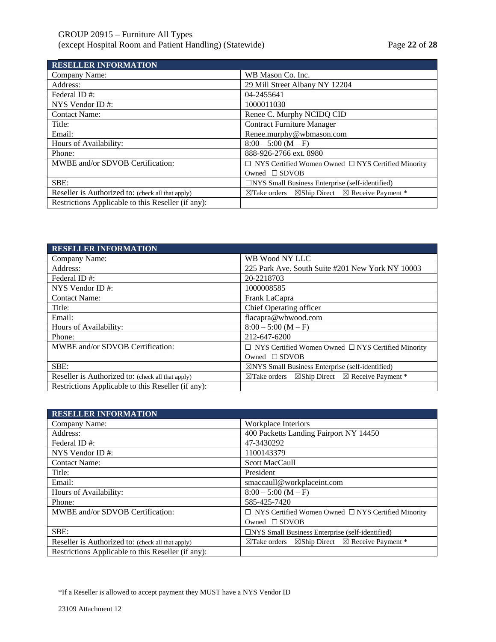| <b>RESELLER INFORMATION</b>                        |                                                                               |
|----------------------------------------------------|-------------------------------------------------------------------------------|
| Company Name:                                      | WB Mason Co. Inc.                                                             |
| Address:                                           | 29 Mill Street Albany NY 12204                                                |
| Federal ID#:                                       | 04-2455641                                                                    |
| NYS Vendor ID $#$ :                                | 1000011030                                                                    |
| <b>Contact Name:</b>                               | Renee C. Murphy NCIDQ CID                                                     |
| Title:                                             | <b>Contract Furniture Manager</b>                                             |
| Email:                                             | Renee.murphy@wbmason.com                                                      |
| Hours of Availability:                             | $8:00 - 5:00 (M - F)$                                                         |
| Phone:                                             | 888-926-2766 ext. 8980                                                        |
| MWBE and/or SDVOB Certification:                   | $\Box$ NYS Certified Women Owned $\Box$ NYS Certified Minority                |
|                                                    | Owned $\square$ SDVOB                                                         |
| SBE:                                               | $\Box$ NYS Small Business Enterprise (self-identified)                        |
| Reseller is Authorized to: (check all that apply)  | $\boxtimes$ Take orders $\boxtimes$ Ship Direct $\boxtimes$ Receive Payment * |
| Restrictions Applicable to this Reseller (if any): |                                                                               |

| <b>RESELLER INFORMATION</b>                        |                                                                               |
|----------------------------------------------------|-------------------------------------------------------------------------------|
| Company Name:                                      | WB Wood NY LLC                                                                |
| Address:                                           | 225 Park Ave. South Suite #201 New York NY 10003                              |
| Federal ID#:                                       | 20-2218703                                                                    |
| NYS Vendor ID $#$ :                                | 1000008585                                                                    |
| <b>Contact Name:</b>                               | Frank LaCapra                                                                 |
| Title:                                             | Chief Operating officer                                                       |
| Email:                                             | flacapra@wbwood.com                                                           |
| Hours of Availability:                             | $8:00 - 5:00 (M - F)$                                                         |
| Phone:                                             | 212-647-6200                                                                  |
| MWBE and/or SDVOB Certification:                   | $\Box$ NYS Certified Women Owned $\Box$ NYS Certified Minority                |
|                                                    | Owned $\square$ SDVOB                                                         |
| SBE:                                               | $\boxtimes$ NYS Small Business Enterprise (self-identified)                   |
| Reseller is Authorized to: (check all that apply)  | $\boxtimes$ Take orders $\boxtimes$ Ship Direct $\boxtimes$ Receive Payment * |
| Restrictions Applicable to this Reseller (if any): |                                                                               |

| <b>RESELLER INFORMATION</b>                        |                                                                               |
|----------------------------------------------------|-------------------------------------------------------------------------------|
| Company Name:                                      | Workplace Interiors                                                           |
| Address:                                           | 400 Packetts Landing Fairport NY 14450                                        |
| Federal ID#:                                       | 47-3430292                                                                    |
| NYS Vendor ID $#$ :                                | 1100143379                                                                    |
| <b>Contact Name:</b>                               | <b>Scott MacCaull</b>                                                         |
| Title:                                             | President                                                                     |
| Email:                                             | smaccaull@workplaceint.com                                                    |
| Hours of Availability:                             | $8:00 - 5:00 (M - F)$                                                         |
| Phone:                                             | 585-425-7420                                                                  |
| MWBE and/or SDVOB Certification:                   | $\Box$ NYS Certified Women Owned $\Box$ NYS Certified Minority                |
|                                                    | Owned $\square$ SDVOB                                                         |
| SBE:                                               | $\Box$ NYS Small Business Enterprise (self-identified)                        |
| Reseller is Authorized to: (check all that apply)  | $\boxtimes$ Take orders $\boxtimes$ Ship Direct $\boxtimes$ Receive Payment * |
| Restrictions Applicable to this Reseller (if any): |                                                                               |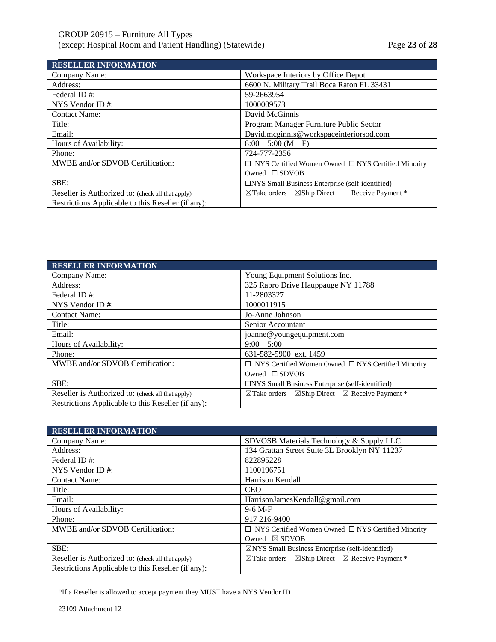| <b>RESELLER INFORMATION</b>                        |                                                                             |
|----------------------------------------------------|-----------------------------------------------------------------------------|
| Company Name:                                      | Workspace Interiors by Office Depot                                         |
| Address:                                           | 6600 N. Military Trail Boca Raton FL 33431                                  |
| Federal ID#:                                       | 59-2663954                                                                  |
| NYS Vendor ID $#$ :                                | 1000009573                                                                  |
| <b>Contact Name:</b>                               | David McGinnis                                                              |
| Title:                                             | Program Manager Furniture Public Sector                                     |
| Email:                                             | David.mcginnis@workspaceinteriorsod.com                                     |
| Hours of Availability:                             | $8:00 - 5:00 (M - F)$                                                       |
| Phone:                                             | 724-777-2356                                                                |
| MWBE and/or SDVOB Certification:                   | $\Box$ NYS Certified Women Owned $\Box$ NYS Certified Minority              |
|                                                    | Owned $\square$ SDVOB                                                       |
| SBE:                                               | $\Box$ NYS Small Business Enterprise (self-identified)                      |
| Reseller is Authorized to: (check all that apply)  | $\boxtimes$ Ship Direct $\Box$ Receive Payment *<br>$\boxtimes$ Take orders |
| Restrictions Applicable to this Reseller (if any): |                                                                             |

| <b>RESELLER INFORMATION</b>                        |                                                                                  |
|----------------------------------------------------|----------------------------------------------------------------------------------|
| Company Name:                                      | Young Equipment Solutions Inc.                                                   |
| Address:                                           | 325 Rabro Drive Hauppauge NY 11788                                               |
| Federal ID#:                                       | 11-2803327                                                                       |
| NYS Vendor ID $#$ :                                | 1000011915                                                                       |
| <b>Contact Name:</b>                               | Jo-Anne Johnson                                                                  |
| Title:                                             | Senior Accountant                                                                |
| Email:                                             | joanne@youngequipment.com                                                        |
| Hours of Availability:                             | $9:00-5:00$                                                                      |
| Phone:                                             | 631-582-5900 ext. 1459                                                           |
| MWBE and/or SDVOB Certification:                   | $\Box$ NYS Certified Women Owned $\Box$ NYS Certified Minority                   |
|                                                    | Owned $\square$ SDVOB                                                            |
| SBE:                                               | $\Box$ NYS Small Business Enterprise (self-identified)                           |
| Reseller is Authorized to: (check all that apply)  | $\boxtimes$ Ship Direct $\boxtimes$ Receive Payment *<br>$\boxtimes$ Take orders |
| Restrictions Applicable to this Reseller (if any): |                                                                                  |

| <b>RESELLER INFORMATION</b>                        |                                                                               |
|----------------------------------------------------|-------------------------------------------------------------------------------|
| Company Name:                                      | SDVOSB Materials Technology & Supply LLC                                      |
| Address:                                           | 134 Grattan Street Suite 3L Brooklyn NY 11237                                 |
| Federal ID#:                                       | 822895228                                                                     |
| NYS Vendor ID#:                                    | 1100196751                                                                    |
| <b>Contact Name:</b>                               | Harrison Kendall                                                              |
| Title:                                             | <b>CEO</b>                                                                    |
| Email:                                             | HarrisonJamesKendall@gmail.com                                                |
| Hours of Availability:                             | $9-6 M-F$                                                                     |
| Phone:                                             | 917 216-9400                                                                  |
| MWBE and/or SDVOB Certification:                   | $\Box$ NYS Certified Women Owned $\Box$ NYS Certified Minority                |
|                                                    | Owned $\boxtimes$ SDVOB                                                       |
| SBE:                                               | $\boxtimes$ NYS Small Business Enterprise (self-identified)                   |
| Reseller is Authorized to: (check all that apply)  | $\boxtimes$ Take orders $\boxtimes$ Ship Direct $\boxtimes$ Receive Payment * |
| Restrictions Applicable to this Reseller (if any): |                                                                               |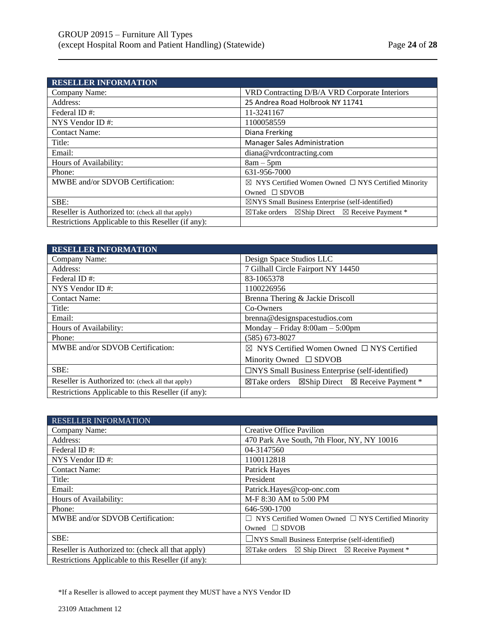| <b>RESELLER INFORMATION</b>                        |                                                                               |
|----------------------------------------------------|-------------------------------------------------------------------------------|
| Company Name:                                      | VRD Contracting D/B/A VRD Corporate Interiors                                 |
| Address:                                           | 25 Andrea Road Holbrook NY 11741                                              |
| Federal ID#:                                       | 11-3241167                                                                    |
| NYS Vendor ID $#$ :                                | 1100058559                                                                    |
| <b>Contact Name:</b>                               | Diana Frerking                                                                |
| Title:                                             | <b>Manager Sales Administration</b>                                           |
| Email:                                             | diana@vrdcontracting.com                                                      |
| Hours of Availability:                             | $8am - 5pm$                                                                   |
| Phone:                                             | 631-956-7000                                                                  |
| MWBE and/or SDVOB Certification:                   | $\boxtimes$ NYS Certified Women Owned $\Box$ NYS Certified Minority           |
|                                                    | Owned $\square$ SDVOB                                                         |
| SBE:                                               | $\boxtimes$ NYS Small Business Enterprise (self-identified)                   |
| Reseller is Authorized to: (check all that apply)  | $\boxtimes$ Take orders $\boxtimes$ Ship Direct $\boxtimes$ Receive Payment * |
| Restrictions Applicable to this Reseller (if any): |                                                                               |

| <b>RESELLER INFORMATION</b>                        |                                                                               |
|----------------------------------------------------|-------------------------------------------------------------------------------|
| Company Name:                                      | Design Space Studios LLC                                                      |
| Address:                                           | 7 Gilhall Circle Fairport NY 14450                                            |
| Federal ID#:                                       | 83-1065378                                                                    |
| NYS Vendor ID $#$ :                                | 1100226956                                                                    |
| <b>Contact Name:</b>                               | Brenna Thering & Jackie Driscoll                                              |
| Title:                                             | Co-Owners                                                                     |
| Email:                                             | brenna@designspacestudios.com                                                 |
| Hours of Availability:                             | Monday – Friday $8:00am - 5:00pm$                                             |
| Phone:                                             | $(585) 673 - 8027$                                                            |
| MWBE and/or SDVOB Certification:                   | $\boxtimes$ NYS Certified Women Owned $\Box$ NYS Certified                    |
|                                                    | Minority Owned $\square$ SDVOB                                                |
| SBE:                                               | □NYS Small Business Enterprise (self-identified)                              |
| Reseller is Authorized to: (check all that apply)  | $\boxtimes$ Take orders $\boxtimes$ Ship Direct $\boxtimes$ Receive Payment * |
| Restrictions Applicable to this Reseller (if any): |                                                                               |

| <b>RESELLER INFORMATION</b>                        |                                                                                  |
|----------------------------------------------------|----------------------------------------------------------------------------------|
| Company Name:                                      | Creative Office Pavilion                                                         |
| Address:                                           | 470 Park Ave South, 7th Floor, NY, NY 10016                                      |
| Federal ID#:                                       | 04-3147560                                                                       |
| NYS Vendor ID $#$ :                                | 1100112818                                                                       |
| <b>Contact Name:</b>                               | Patrick Hayes                                                                    |
| Title:                                             | President                                                                        |
| Email:                                             | Patrick.Hayes@cop-onc.com                                                        |
| Hours of Availability:                             | M-F 8:30 AM to 5:00 PM                                                           |
| Phone:                                             | 646-590-1700                                                                     |
| MWBE and/or SDVOB Certification:                   | $\Box$ NYS Certified Women Owned $\Box$ NYS Certified Minority                   |
|                                                    | Owned $\Box$ SDVOB                                                               |
| SBE:                                               | $\Box$ NYS Small Business Enterprise (self-identified)                           |
| Reseller is Authorized to: (check all that apply)  | $\boxtimes$ Ship Direct $\boxtimes$ Receive Payment *<br>$\boxtimes$ Take orders |
| Restrictions Applicable to this Reseller (if any): |                                                                                  |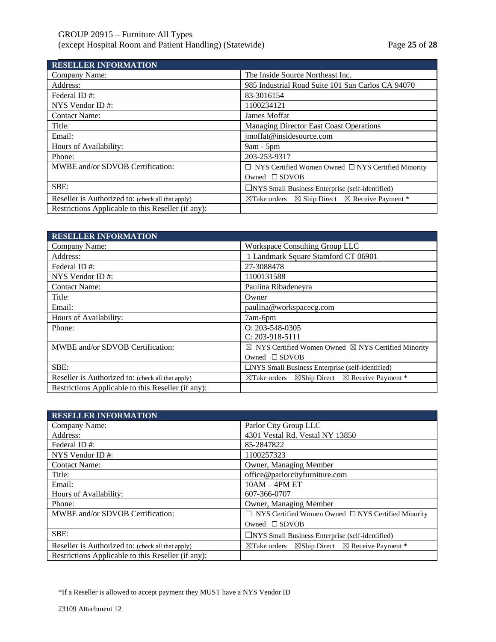| <b>RESELLER INFORMATION</b>                        |                                                                                  |
|----------------------------------------------------|----------------------------------------------------------------------------------|
| Company Name:                                      | The Inside Source Northeast Inc.                                                 |
| Address:                                           | 985 Industrial Road Suite 101 San Carlos CA 94070                                |
| Federal ID#:                                       | 83-3016154                                                                       |
| NYS Vendor ID#:                                    | 1100234121                                                                       |
| <b>Contact Name:</b>                               | James Moffat                                                                     |
| Title:                                             | <b>Managing Director East Coast Operations</b>                                   |
| Email:                                             | jmoffat@insidesource.com                                                         |
| Hours of Availability:                             | $9am - 5pm$                                                                      |
| Phone:                                             | 203-253-9317                                                                     |
| MWBE and/or SDVOB Certification:                   | $\Box$ NYS Certified Women Owned $\Box$ NYS Certified Minority                   |
|                                                    | Owned $\square$ SDVOB                                                            |
| SBE:                                               | $\Box$ NYS Small Business Enterprise (self-identified)                           |
| Reseller is Authorized to: (check all that apply)  | $\boxtimes$ Ship Direct $\boxtimes$ Receive Payment *<br>$\boxtimes$ Take orders |
| Restrictions Applicable to this Reseller (if any): |                                                                                  |

| <b>RESELLER INFORMATION</b>                        |                                                                               |
|----------------------------------------------------|-------------------------------------------------------------------------------|
| Company Name:                                      | Workspace Consulting Group LLC                                                |
| Address:                                           | 1 Landmark Square Stamford CT 06901                                           |
| Federal ID#:                                       | 27-3088478                                                                    |
| NYS Vendor ID#:                                    | 1100131588                                                                    |
| <b>Contact Name:</b>                               | Paulina Ribadeneyra                                                           |
| Title:                                             | Owner                                                                         |
| Email:                                             | paulina@workspacecg.com                                                       |
| Hours of Availability:                             | 7am-6pm                                                                       |
| Phone:                                             | $Q: 203 - 548 - 0305$                                                         |
|                                                    | $C: 203-918-5111$                                                             |
| MWBE and/or SDVOB Certification:                   | $\boxtimes$ NYS Certified Women Owned $\boxtimes$ NYS Certified Minority      |
|                                                    | Owned $\square$ SDVOB                                                         |
| SBE:                                               | $\Box$ NYS Small Business Enterprise (self-identified)                        |
| Reseller is Authorized to: (check all that apply)  | $\boxtimes$ Take orders $\boxtimes$ Ship Direct $\boxtimes$ Receive Payment * |
| Restrictions Applicable to this Reseller (if any): |                                                                               |

| <b>RESELLER INFORMATION</b>                        |                                                                               |
|----------------------------------------------------|-------------------------------------------------------------------------------|
| Company Name:                                      | Parlor City Group LLC                                                         |
| Address:                                           | 4301 Vestal Rd. Vestal NY 13850                                               |
| Federal ID#:                                       | 85-2847822                                                                    |
| NYS Vendor ID $#$ :                                | 1100257323                                                                    |
| <b>Contact Name:</b>                               | Owner, Managing Member                                                        |
| Title:                                             | office@parlorcityfurniture.com                                                |
| Email:                                             | $10AM - 4PM ET$                                                               |
| Hours of Availability:                             | 607-366-0707                                                                  |
| Phone:                                             | Owner, Managing Member                                                        |
| MWBE and/or SDVOB Certification:                   | $\Box$ NYS Certified Women Owned $\Box$ NYS Certified Minority                |
|                                                    | Owned $\square$ SDVOB                                                         |
| SBE:                                               | $\Box$ NYS Small Business Enterprise (self-identified)                        |
| Reseller is Authorized to: (check all that apply)  | $\boxtimes$ Take orders $\boxtimes$ Ship Direct $\boxtimes$ Receive Payment * |
| Restrictions Applicable to this Reseller (if any): |                                                                               |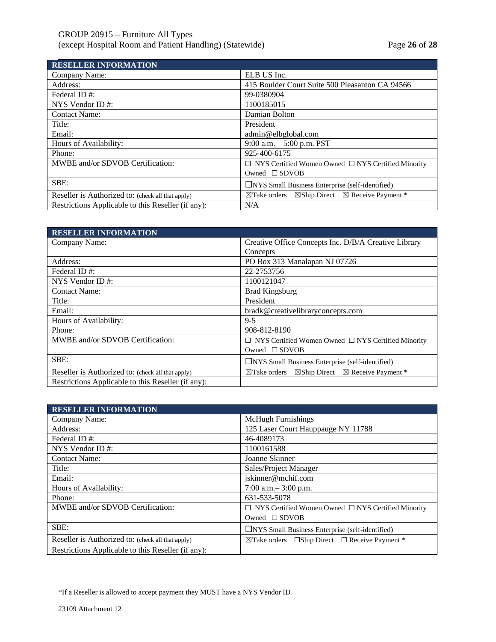| <b>RESELLER INFORMATION</b>                        |                                                                                  |
|----------------------------------------------------|----------------------------------------------------------------------------------|
| Company Name:                                      | ELB US Inc.                                                                      |
| Address:                                           | 415 Boulder Court Suite 500 Pleasanton CA 94566                                  |
| Federal ID#:                                       | 99-0380904                                                                       |
| NYS Vendor ID $#$ :                                | 1100185015                                                                       |
| <b>Contact Name:</b>                               | Damian Bolton                                                                    |
| Title:                                             | President                                                                        |
| Email:                                             | admin@elbglobal.com                                                              |
| Hours of Availability:                             | 9:00 a.m. $-5:00$ p.m. PST                                                       |
| Phone:                                             | 925-400-6175                                                                     |
| MWBE and/or SDVOB Certification:                   | $\Box$ NYS Certified Women Owned $\Box$ NYS Certified Minority                   |
|                                                    | Owned $\square$ SDVOB                                                            |
| SBE:                                               | □NYS Small Business Enterprise (self-identified)                                 |
| Reseller is Authorized to: (check all that apply)  | $\boxtimes$ Ship Direct $\boxtimes$ Receive Payment *<br>$\boxtimes$ Take orders |
| Restrictions Applicable to this Reseller (if any): | N/A                                                                              |

| <b>RESELLER INFORMATION</b>                        |                                                                                  |
|----------------------------------------------------|----------------------------------------------------------------------------------|
| Company Name:                                      | Creative Office Concepts Inc. D/B/A Creative Library                             |
|                                                    | Concepts                                                                         |
| Address:                                           | PO Box 313 Manalapan NJ 07726                                                    |
| Federal ID#:                                       | 22-2753756                                                                       |
| NYS Vendor ID $#$ :                                | 1100121047                                                                       |
| <b>Contact Name:</b>                               | <b>Brad Kingsburg</b>                                                            |
| Title:                                             | President                                                                        |
| Email:                                             | bradk@creativelibraryconcepts.com                                                |
| Hours of Availability:                             | $9 - 5$                                                                          |
| Phone:                                             | 908-812-8190                                                                     |
| MWBE and/or SDVOB Certification:                   | $\Box$ NYS Certified Women Owned $\Box$ NYS Certified Minority                   |
|                                                    | Owned $\square$ SDVOB                                                            |
| SBE:                                               | $\Box$ NYS Small Business Enterprise (self-identified)                           |
| Reseller is Authorized to: (check all that apply)  | $\boxtimes$ Ship Direct $\boxtimes$ Receive Payment *<br>$\boxtimes$ Take orders |
| Restrictions Applicable to this Reseller (if any): |                                                                                  |

| <b>RESELLER INFORMATION</b>                        |                                                                     |
|----------------------------------------------------|---------------------------------------------------------------------|
| Company Name:                                      | <b>McHugh Furnishings</b>                                           |
| Address:                                           | 125 Laser Court Hauppauge NY 11788                                  |
| Federal ID#:                                       | 46-4089173                                                          |
| NYS Vendor ID#:                                    | 1100161588                                                          |
| <b>Contact Name:</b>                               | Joanne Skinner                                                      |
| Title:                                             | Sales/Project Manager                                               |
| Email:                                             | jskinner@mchif.com                                                  |
| Hours of Availability:                             | 7:00 a.m. $-$ 3:00 p.m.                                             |
| Phone:                                             | 631-533-5078                                                        |
| MWBE and/or SDVOB Certification:                   | $\Box$ NYS Certified Women Owned $\Box$ NYS Certified Minority      |
|                                                    | Owned $\square$ SDVOB                                               |
| SBE:                                               | $\Box$ NYS Small Business Enterprise (self-identified)              |
| Reseller is Authorized to: (check all that apply)  | $\boxtimes$ Take orders $\Box$ Ship Direct $\Box$ Receive Payment * |
| Restrictions Applicable to this Reseller (if any): |                                                                     |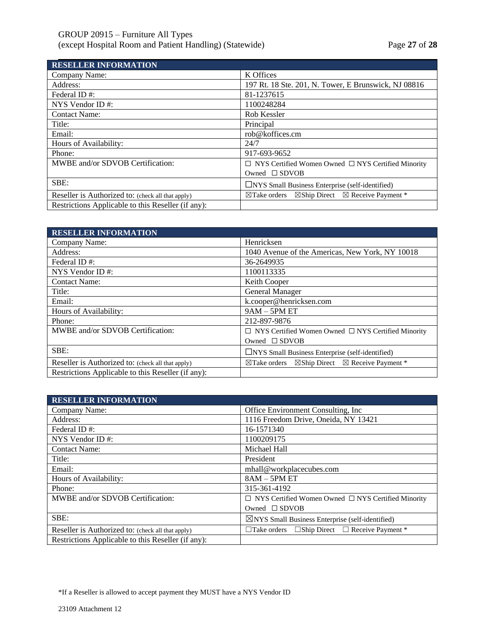# GROUP 20915 – Furniture All Types (except Hospital Room and Patient Handling) (Statewide) Page **27** of **28**

| <b>RESELLER INFORMATION</b>                        |                                                                                  |
|----------------------------------------------------|----------------------------------------------------------------------------------|
| Company Name:                                      | K Offices                                                                        |
| Address:                                           | 197 Rt. 18 Ste. 201, N. Tower, E Brunswick, NJ 08816                             |
| Federal ID#:                                       | 81-1237615                                                                       |
| NYS Vendor ID $#$ :                                | 1100248284                                                                       |
| <b>Contact Name:</b>                               | Rob Kessler                                                                      |
| Title:                                             | Principal                                                                        |
| Email:                                             | rob@koffices.cm                                                                  |
| Hours of Availability:                             | 24/7                                                                             |
| Phone:                                             | 917-693-9652                                                                     |
| MWBE and/or SDVOB Certification:                   | $\Box$ NYS Certified Women Owned $\Box$ NYS Certified Minority                   |
|                                                    | Owned $\square$ SDVOB                                                            |
| SBE:                                               | $\Box$ NYS Small Business Enterprise (self-identified)                           |
| Reseller is Authorized to: (check all that apply)  | $\boxtimes$ Ship Direct $\boxtimes$ Receive Payment *<br>$\boxtimes$ Take orders |
| Restrictions Applicable to this Reseller (if any): |                                                                                  |

| <b>RESELLER INFORMATION</b>                        |                                                                                  |
|----------------------------------------------------|----------------------------------------------------------------------------------|
| Company Name:                                      | Henricksen                                                                       |
| Address:                                           | 1040 Avenue of the Americas, New York, NY 10018                                  |
| Federal ID#:                                       | 36-2649935                                                                       |
| NYS Vendor ID $#$ :                                | 1100113335                                                                       |
| <b>Contact Name:</b>                               | Keith Cooper                                                                     |
| Title:                                             | General Manager                                                                  |
| Email:                                             | k.cooper@henricksen.com                                                          |
| Hours of Availability:                             | $9AM - 5PM ET$                                                                   |
| Phone:                                             | 212-897-9876                                                                     |
| MWBE and/or SDVOB Certification:                   | $\Box$ NYS Certified Women Owned $\Box$ NYS Certified Minority                   |
|                                                    | Owned $\square$ SDVOB                                                            |
| SBE:                                               | □NYS Small Business Enterprise (self-identified)                                 |
| Reseller is Authorized to: (check all that apply)  | $\boxtimes$ Ship Direct $\boxtimes$ Receive Payment *<br>$\boxtimes$ Take orders |
| Restrictions Applicable to this Reseller (if any): |                                                                                  |

| <b>RESELLER INFORMATION</b>                        |                                                                |
|----------------------------------------------------|----------------------------------------------------------------|
| Company Name:                                      | Office Environment Consulting, Inc.                            |
| Address:                                           | 1116 Freedom Drive, Oneida, NY 13421                           |
| Federal ID#:                                       | 16-1571340                                                     |
| NYS Vendor ID $#$ :                                | 1100209175                                                     |
| <b>Contact Name:</b>                               | Michael Hall                                                   |
| Title:                                             | President                                                      |
| Email:                                             | mhall@workplacecubes.com                                       |
| Hours of Availability:                             | $8AM - 5PM ET$                                                 |
| Phone:                                             | 315-361-4192                                                   |
| MWBE and/or SDVOB Certification:                   | $\Box$ NYS Certified Women Owned $\Box$ NYS Certified Minority |
|                                                    | Owned $\square$ SDVOB                                          |
| SBE:                                               | $\boxtimes$ NYS Small Business Enterprise (self-identified)    |
| Reseller is Authorized to: (check all that apply)  | $\Box$ Take orders $\Box$ Ship Direct $\Box$ Receive Payment * |
| Restrictions Applicable to this Reseller (if any): |                                                                |